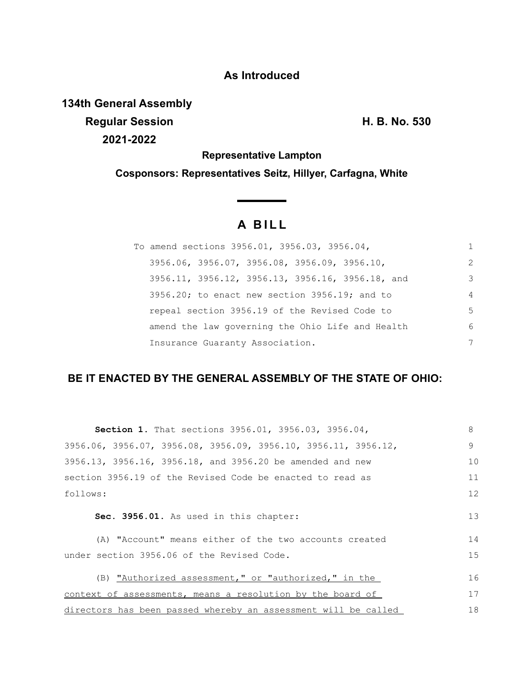# **As Introduced**

**134th General Assembly**

**Regular Session H. B. No. 530 2021-2022**

**Representative Lampton**

**Cosponsors: Representatives Seitz, Hillyer, Carfagna, White**

# **A B I L L**

| To amend sections 3956.01, 3956.03, 3956.04,                |                |
|-------------------------------------------------------------|----------------|
| $3956.06$ , $3956.07$ , $3956.08$ , $3956.09$ , $3956.10$ , | $\mathcal{L}$  |
| 3956.11, 3956.12, 3956.13, 3956.16, 3956.18, and            | 3              |
| $3956.20$ ; to enact new section $3956.19$ ; and to         | $\overline{4}$ |
| repeal section 3956.19 of the Revised Code to               | 5              |
| amend the law governing the Ohio Life and Health            | 6              |
| Insurance Guaranty Association.                             | 7              |

# **BE IT ENACTED BY THE GENERAL ASSEMBLY OF THE STATE OF OHIO:**

| Section 1. That sections 3956.01, 3956.03, 3956.04,                                 | 8  |
|-------------------------------------------------------------------------------------|----|
| $3956.06$ , $3956.07$ , $3956.08$ , $3956.09$ , $3956.10$ , $3956.11$ , $3956.12$ , | 9  |
| 3956.13, 3956.16, 3956.18, and 3956.20 be amended and new                           | 10 |
| section 3956.19 of the Revised Code be enacted to read as                           | 11 |
| follows:                                                                            | 12 |
| Sec. 3956.01. As used in this chapter:                                              | 13 |
| (A) "Account" means either of the two accounts created                              | 14 |
| under section 3956.06 of the Revised Code.                                          | 15 |
| (B) "Authorized assessment," or "authorized," in the                                | 16 |
| context of assessments, means a resolution by the board of                          | 17 |
| directors has been passed whereby an assessment will be called                      | 18 |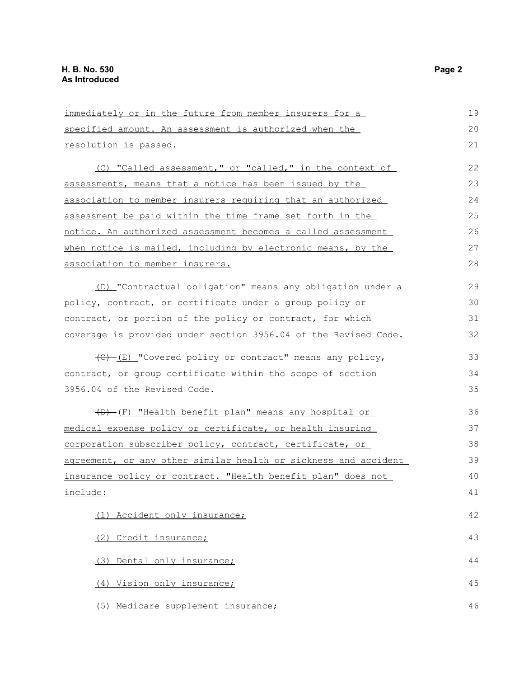| immediately or in the future from member insurers for a         | 19 |
|-----------------------------------------------------------------|----|
| specified amount. An assessment is authorized when the          | 20 |
| resolution is passed.                                           | 21 |
| (C) "Called assessment," or "called," in the context of         | 22 |
| assessments, means that a notice has been issued by the         | 23 |
| association to member insurers requiring that an authorized     | 24 |
| assessment be paid within the time frame set forth in the       | 25 |
| notice. An authorized assessment becomes a called assessment    | 26 |
| when notice is mailed, including by electronic means, by the    | 27 |
| association to member insurers.                                 | 28 |
| (D) "Contractual obligation" means any obligation under a       | 29 |
| policy, contract, or certificate under a group policy or        | 30 |
| contract, or portion of the policy or contract, for which       | 31 |
| coverage is provided under section 3956.04 of the Revised Code. | 32 |
| (C) [E] "Covered policy or contract" means any policy,          | 33 |
| contract, or group certificate within the scope of section      | 34 |
| 3956.04 of the Revised Code.                                    | 35 |
| (D) (F) "Health benefit plan" means any hospital or             | 36 |
| medical expense policy or certificate, or health insuring       | 37 |
| corporation subscriber policy, contract, certificate, or        | 38 |
| agreement, or any other similar health or sickness and accident | 39 |
| insurance policy or contract. "Health benefit plan" does not    | 40 |
| include:                                                        | 41 |
| (1) Accident only insurance;                                    | 42 |
| (2) Credit insurance;                                           | 43 |
| (3) Dental only insurance;                                      | 44 |
| (4) Vision only insurance;                                      | 45 |
| (5) Medicare supplement insurance;                              | 46 |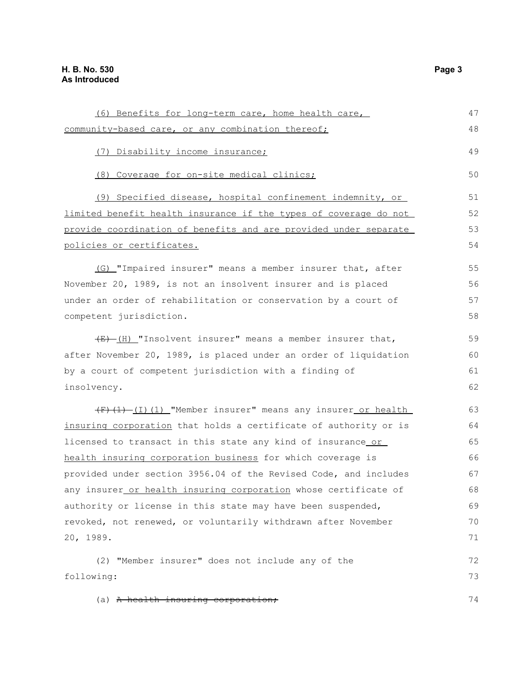| (6) Benefits for long-term care, home health care,                     | 47 |
|------------------------------------------------------------------------|----|
| community-based care, or any combination thereof;                      | 48 |
| (7) Disability income insurance;                                       | 49 |
| (8) Coverage for on-site medical clinics;                              | 50 |
| (9) Specified disease, hospital confinement indemnity, or              | 51 |
| limited benefit health insurance if the types of coverage do not       | 52 |
| provide coordination of benefits and are provided under separate       | 53 |
| policies or certificates.                                              | 54 |
| (G) "Impaired insurer" means a member insurer that, after              | 55 |
| November 20, 1989, is not an insolvent insurer and is placed           | 56 |
| under an order of rehabilitation or conservation by a court of         | 57 |
| competent jurisdiction.                                                | 58 |
| $\overline{f(x)}$ (H) "Insolvent insurer" means a member insurer that, | 59 |
| after November 20, 1989, is placed under an order of liquidation       | 60 |
| by a court of competent jurisdiction with a finding of                 | 61 |
| insolvency.                                                            | 62 |
| (F)(1)-(I)(1)_"Member insurer" means any insurer_or health_            | 63 |
| insuring corporation that holds a certificate of authority or is       | 64 |
| licensed to transact in this state any kind of insurance or            | 65 |
| health insuring corporation business for which coverage is             | 66 |
| provided under section 3956.04 of the Revised Code, and includes       | 67 |
| any insurer or health insuring corporation whose certificate of        | 68 |
| authority or license in this state may have been suspended,            | 69 |
| revoked, not renewed, or voluntarily withdrawn after November          | 70 |
| 20, 1989.                                                              | 71 |
| (2) "Member insurer" does not include any of the                       | 72 |
| following:                                                             | 73 |
| (a) A health insuring corporation;                                     | 74 |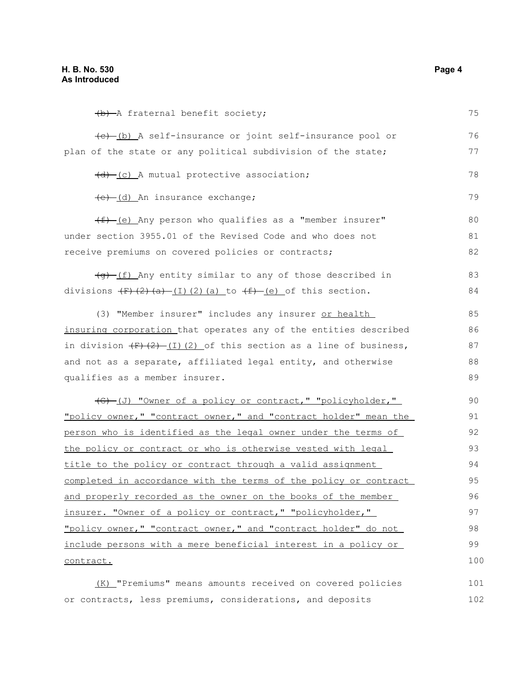(b) A fraternal benefit society; (c) (b) A self-insurance or joint self-insurance pool or plan of the state or any political subdivision of the state;  $(d)$  (c) A mutual protective association; (e) (d) An insurance exchange;  $(f)$  (e) Any person who qualifies as a "member insurer" under section 3955.01 of the Revised Code and who does not receive premiums on covered policies or contracts;  $\left( \theta \right)$  (f) Any entity similar to any of those described in divisions  $(F)(2)(a)$  (I)(2)(a) to  $(f)-(e)$  of this section. (3) "Member insurer" includes any insurer or health insuring corporation that operates any of the entities described in division  $\left(\frac{F}{F}\right)\left(\frac{2}{F}\right)$  (I)(2) of this section as a line of business, and not as a separate, affiliated legal entity, and otherwise qualifies as a member insurer. (G) (J) "Owner of a policy or contract," "policyholder," "policy owner," "contract owner," and "contract holder" mean the person who is identified as the legal owner under the terms of the policy or contract or who is otherwise vested with legal title to the policy or contract through a valid assignment completed in accordance with the terms of the policy or contract and properly recorded as the owner on the books of the member insurer. "Owner of a policy or contract," "policyholder," "policy owner," "contract owner," and "contract holder" do not include persons with a mere beneficial interest in a policy or contract. (K) "Premiums" means amounts received on covered policies 75 76 77 78 79 80 81 82 83 84 85 86 87 88 89 90 91 92 93 94 95 96 97 98 99 100 101

or contracts, less premiums, considerations, and deposits 102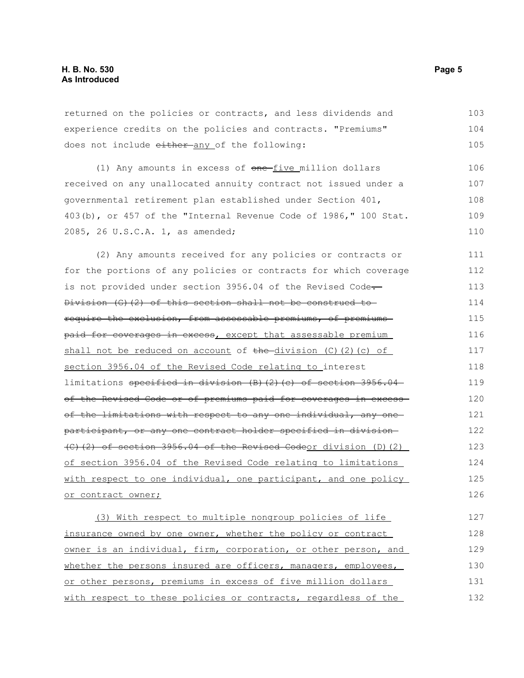| returned on the policies or contracts, and less dividends and    | 103 |
|------------------------------------------------------------------|-----|
| experience credits on the policies and contracts. "Premiums"     | 104 |
| does not include either any of the following:                    | 105 |
| (1) Any amounts in excess of one-five million dollars            | 106 |
| received on any unallocated annuity contract not issued under a  | 107 |
| governmental retirement plan established under Section 401,      | 108 |
| 403(b), or 457 of the "Internal Revenue Code of 1986," 100 Stat. | 109 |
| 2085, 26 U.S.C.A. 1, as amended;                                 | 110 |
| (2) Any amounts received for any policies or contracts or        | 111 |
| for the portions of any policies or contracts for which coverage | 112 |
| is not provided under section 3956.04 of the Revised Code-       | 113 |

Division (G)(2) of this section shall not be construed to require the exclusion, from assessable premiums, of premiums paid for coverages in excess, except that assessable premium shall not be reduced on account of  $the$ -division (C)(2)(c) of section 3956.04 of the Revised Code relating to interest limitations specified in division (B)(2)(c) of section 3956.04 of the Revised Code or of premiums paid for coverages in excess of the limitations with respect to any one individual, any one participant, or any one contract holder specified in division (C)(2) of section 3956.04 of the Revised Codeor division (D)(2) of section 3956.04 of the Revised Code relating to limitations with respect to one individual, one participant, and one policy or contract owner; 114 115 116 117 118 119 120 121 122 123 124 125 126

(3) With respect to multiple nongroup policies of life insurance owned by one owner, whether the policy or contract owner is an individual, firm, corporation, or other person, and whether the persons insured are officers, managers, employees, or other persons, premiums in excess of five million dollars with respect to these policies or contracts, regardless of the 127 128 129 130 131 132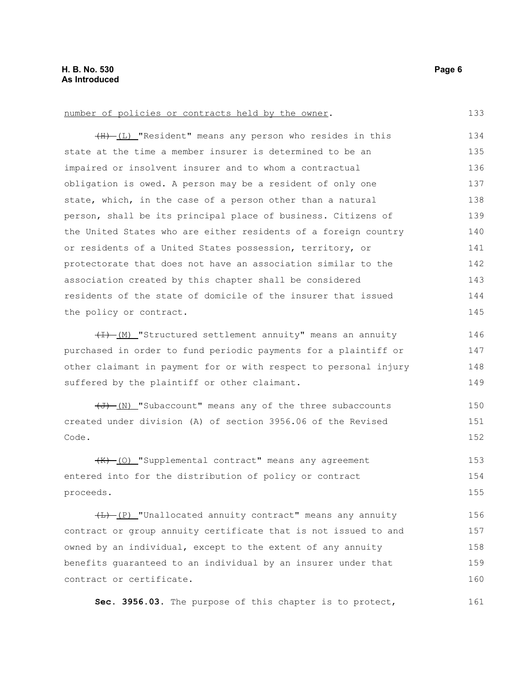133

#### number of policies or contracts held by the owner.

(H) (L) "Resident" means any person who resides in this state at the time a member insurer is determined to be an impaired or insolvent insurer and to whom a contractual obligation is owed. A person may be a resident of only one state, which, in the case of a person other than a natural person, shall be its principal place of business. Citizens of the United States who are either residents of a foreign country or residents of a United States possession, territory, or protectorate that does not have an association similar to the association created by this chapter shall be considered residents of the state of domicile of the insurer that issued the policy or contract. 134 135 136 137 138 139 140 141 142 143 144 145

 $(H)$  (M) "Structured settlement annuity" means an annuity purchased in order to fund periodic payments for a plaintiff or other claimant in payment for or with respect to personal injury suffered by the plaintiff or other claimant. 146 147 148 149

(J) (N) "Subaccount" means any of the three subaccounts created under division (A) of section 3956.06 of the Revised Code. 150 151 152

(K) (O) "Supplemental contract" means any agreement entered into for the distribution of policy or contract proceeds. 153 154 155

 $(H)$  (P) "Unallocated annuity contract" means any annuity contract or group annuity certificate that is not issued to and owned by an individual, except to the extent of any annuity benefits guaranteed to an individual by an insurer under that contract or certificate. 156 157 158 159 160

**Sec. 3956.03.** The purpose of this chapter is to protect, 161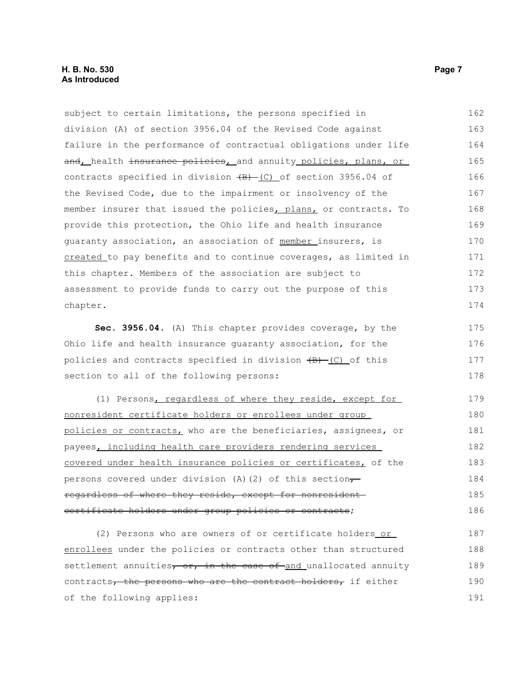| subject to certain limitations, the persons specified in                    | 162 |
|-----------------------------------------------------------------------------|-----|
| division (A) of section 3956.04 of the Revised Code against                 | 163 |
| failure in the performance of contractual obligations under life            | 164 |
| and, health insurance policies, and annuity policies, plans, or             | 165 |
| contracts specified in division $\overline{(B)}$ (C) of section 3956.04 of  | 166 |
| the Revised Code, due to the impairment or insolvency of the                | 167 |
| member insurer that issued the policies, plans, or contracts. To            | 168 |
| provide this protection, the Ohio life and health insurance                 | 169 |
| quaranty association, an association of member insurers, is                 | 170 |
| created to pay benefits and to continue coverages, as limited in            | 171 |
| this chapter. Members of the association are subject to                     | 172 |
| assessment to provide funds to carry out the purpose of this                | 173 |
| chapter.                                                                    | 174 |
| Sec. 3956.04. (A) This chapter provides coverage, by the                    | 175 |
| Ohio life and health insurance quaranty association, for the                | 176 |
| policies and contracts specified in division $\overline{(B) - (C)}$ of this | 177 |
| section to all of the following persons:                                    | 178 |
|                                                                             |     |

(1) Persons, regardless of where they reside, except for nonresident certificate holders or enrollees under group policies or contracts, who are the beneficiaries, assignees, or payees, including health care providers rendering services covered under health insurance policies or certificates, of the persons covered under division (A)(2) of this section $\tau$ regardless of where they reside, except for nonresident certificate holders under group policies or contracts; 179 180 181 182 183 184 185 186

(2) Persons who are owners of or certificate holders or enrollees under the policies or contracts other than structured settlement annuities, or, in the case of and unallocated annuity contracts, the persons who are the contract holders, if either of the following applies: 187 188 189 190 191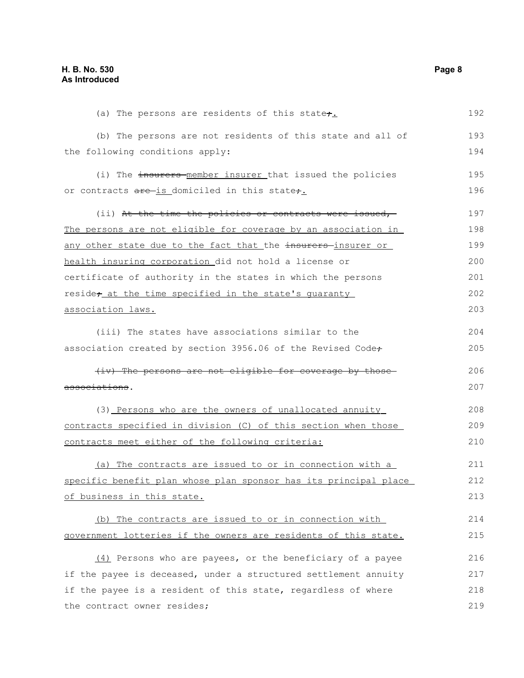(a) The persons are residents of this state $\div$ . (b) The persons are not residents of this state and all of the following conditions apply: (i) The insurers member insurer that issued the policies or contracts are is domiciled in this state,. (ii) At the time the policies or contracts were issued, -The persons are not eligible for coverage by an association in any other state due to the fact that the insurers-insurer or health insuring corporation did not hold a license or certificate of authority in the states in which the persons reside; at the time specified in the state's quaranty association laws. (iii) The states have associations similar to the association created by section 3956.06 of the Revised Code+ (iv) The persons are not eligible for coverage by those associations. (3) Persons who are the owners of unallocated annuity contracts specified in division (C) of this section when those contracts meet either of the following criteria: (a) The contracts are issued to or in connection with a specific benefit plan whose plan sponsor has its principal place of business in this state. (b) The contracts are issued to or in connection with government lotteries if the owners are residents of this state. (4) Persons who are payees, or the beneficiary of a payee if the payee is deceased, under a structured settlement annuity if the payee is a resident of this state, regardless of where the contract owner resides; 192 193 194 195 196 197 198 199 200 201 202 203 204 205 206 207 208 209 210 211 212 213 214 215 216 217 218 219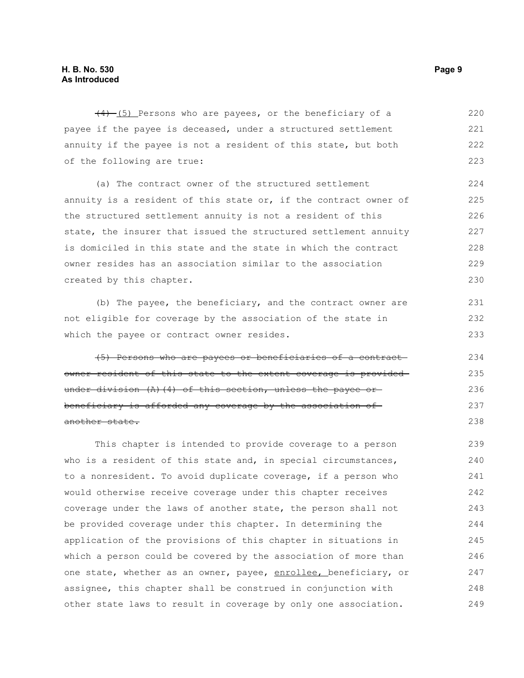$(4)$  (5) Persons who are payees, or the beneficiary of a payee if the payee is deceased, under a structured settlement annuity if the payee is not a resident of this state, but both of the following are true: 220 221 222 223

(a) The contract owner of the structured settlement annuity is a resident of this state or, if the contract owner of the structured settlement annuity is not a resident of this state, the insurer that issued the structured settlement annuity is domiciled in this state and the state in which the contract owner resides has an association similar to the association created by this chapter. 224 225 226 227 228 229 230

(b) The payee, the beneficiary, and the contract owner are not eligible for coverage by the association of the state in which the payee or contract owner resides.

(5) Persons who are payees or beneficiaries of a contract owner resident of this state to the extent coverage is provided under division (A)(4) of this section, unless the payee or beneficiary is afforded any coverage by the association of another state.

This chapter is intended to provide coverage to a person who is a resident of this state and, in special circumstances, to a nonresident. To avoid duplicate coverage, if a person who would otherwise receive coverage under this chapter receives coverage under the laws of another state, the person shall not be provided coverage under this chapter. In determining the application of the provisions of this chapter in situations in which a person could be covered by the association of more than one state, whether as an owner, payee, enrollee, beneficiary, or assignee, this chapter shall be construed in conjunction with other state laws to result in coverage by only one association. 239 240 241 242 243 244 245 246 247 248 249

231 232 233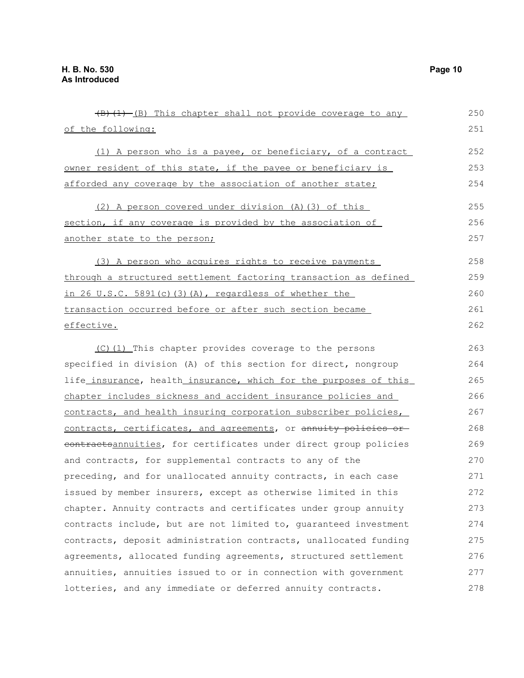| (B) (1) -(B) This chapter shall not provide coverage to any      | 250 |
|------------------------------------------------------------------|-----|
| of the following:                                                | 251 |
| (1) A person who is a payee, or beneficiary, of a contract       | 252 |
| owner resident of this state, if the payee or beneficiary is     | 253 |
| afforded any coverage by the association of another state;       | 254 |
| (2) A person covered under division (A) (3) of this              | 255 |
| section, if any coverage is provided by the association of       | 256 |
| another state to the person;                                     | 257 |
| (3) A person who acquires rights to receive payments             | 258 |
| through a structured settlement factoring transaction as defined | 259 |
| in 26 U.S.C. 5891(c)(3)(A), regardless of whether the            | 260 |
| transaction occurred before or after such section became         | 261 |
| effective.                                                       | 262 |
| (C)(1) This chapter provides coverage to the persons             | 263 |
| specified in division (A) of this section for direct, nongroup   | 264 |
| life_insurance, health_insurance, which for the purposes of this | 265 |
| chapter includes sickness and accident insurance policies and    | 266 |
| contracts, and health insuring corporation subscriber policies,  | 267 |
| contracts, certificates, and agreements, or annuity policies or- | 268 |
| contractsannuities, for certificates under direct group policies | 269 |
| and contracts, for supplemental contracts to any of the          | 270 |
| preceding, and for unallocated annuity contracts, in each case   | 271 |
| issued by member insurers, except as otherwise limited in this   | 272 |
| chapter. Annuity contracts and certificates under group annuity  | 273 |
| contracts include, but are not limited to, quaranteed investment | 274 |
| contracts, deposit administration contracts, unallocated funding | 275 |
| agreements, allocated funding agreements, structured settlement  | 276 |
| annuities, annuities issued to or in connection with government  | 277 |
| lotteries, and any immediate or deferred annuity contracts.      | 278 |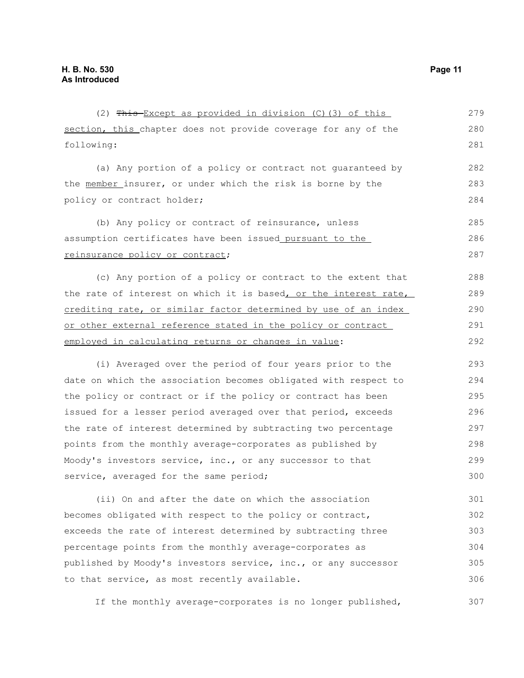| (2) This-Except as provided in division (C) (3) of this          | 279 |
|------------------------------------------------------------------|-----|
| section, this chapter does not provide coverage for any of the   | 280 |
| following:                                                       | 281 |
| (a) Any portion of a policy or contract not guaranteed by        | 282 |
| the member insurer, or under which the risk is borne by the      | 283 |
| policy or contract holder;                                       | 284 |
| (b) Any policy or contract of reinsurance, unless                | 285 |
| assumption certificates have been issued pursuant to the         | 286 |
| reinsurance policy or contract;                                  | 287 |
| (c) Any portion of a policy or contract to the extent that       | 288 |
| the rate of interest on which it is based, or the interest rate, | 289 |
| crediting rate, or similar factor determined by use of an index  | 290 |
| or other external reference stated in the policy or contract     | 291 |
| employed in calculating returns or changes in value:             | 292 |
| (i) Averaged over the period of four years prior to the          | 293 |
| date on which the association becomes obligated with respect to  | 294 |
| the policy or contract or if the policy or contract has been     | 295 |
| issued for a lesser period averaged over that period, exceeds    | 296 |
| the rate of interest determined by subtracting two percentage    | 297 |
| points from the monthly average-corporates as published by       | 298 |
| Moody's investors service, inc., or any successor to that        | 299 |
| service, averaged for the same period;                           | 300 |
| (ii) On and after the date on which the association              | 301 |
| becomes obligated with respect to the policy or contract,        | 302 |
| exceeds the rate of interest determined by subtracting three     | 303 |
| percentage points from the monthly average-corporates as         | 304 |
| published by Moody's investors service, inc., or any successor   | 305 |
| to that service, as most recently available.                     | 306 |

If the monthly average-corporates is no longer published, 307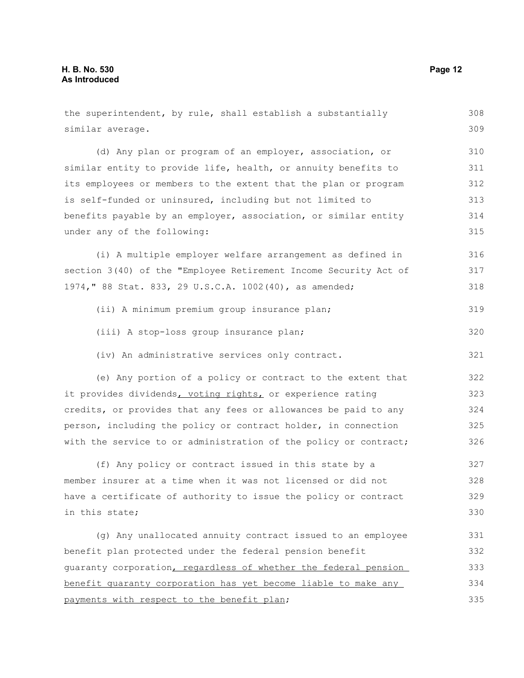similar average. (d) Any plan or program of an employer, association, or similar entity to provide life, health, or annuity benefits to its employees or members to the extent that the plan or program is self-funded or uninsured, including but not limited to benefits payable by an employer, association, or similar entity under any of the following: (i) A multiple employer welfare arrangement as defined in section 3(40) of the "Employee Retirement Income Security Act of 1974," 88 Stat. 833, 29 U.S.C.A. 1002(40), as amended; (ii) A minimum premium group insurance plan; (iii) A stop-loss group insurance plan; (iv) An administrative services only contract. (e) Any portion of a policy or contract to the extent that it provides dividends, voting rights, or experience rating credits, or provides that any fees or allowances be paid to any person, including the policy or contract holder, in connection with the service to or administration of the policy or contract; (f) Any policy or contract issued in this state by a member insurer at a time when it was not licensed or did not have a certificate of authority to issue the policy or contract in this state; (g) Any unallocated annuity contract issued to an employee benefit plan protected under the federal pension benefit guaranty corporation, regardless of whether the federal pension benefit guaranty corporation has yet become liable to make any payments with respect to the benefit plan; 309 310 311 312 313 314 315 316 317 318 319 320 321 322 323 324 325 326 327 328 329 330 331 332 333 334 335

the superintendent, by rule, shall establish a substantially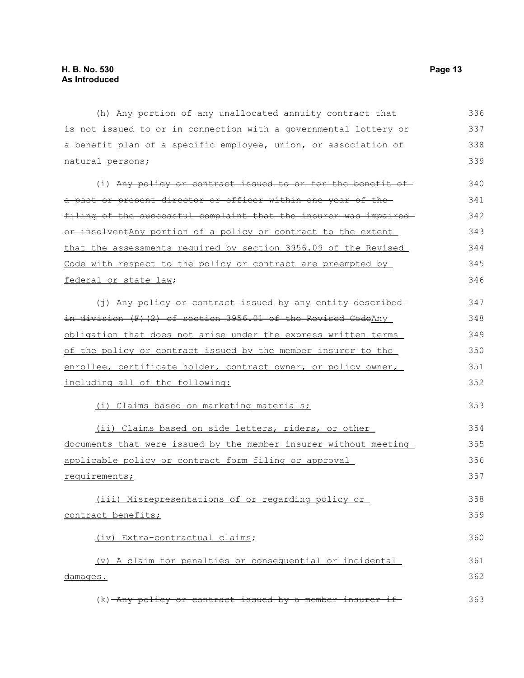(h) Any portion of any unallocated annuity contract that is not issued to or in connection with a governmental lottery or a benefit plan of a specific employee, union, or association of natural persons; (i) Any policy or contract issued to or for the benefit ofa past or present director or officer within one year of the filing of the successful complaint that the insurer was impaired or insolventAny portion of a policy or contract to the extent that the assessments required by section 3956.09 of the Revised Code with respect to the policy or contract are preempted by federal or state law; (j) Any policy or contract issued by any entity described in division (F)(2) of section 3956.01 of the Revised CodeAny obligation that does not arise under the express written terms of the policy or contract issued by the member insurer to the enrollee, certificate holder, contract owner, or policy owner, including all of the following: (i) Claims based on marketing materials; (ii) Claims based on side letters, riders, or other documents that were issued by the member insurer without meeting applicable policy or contract form filing or approval requirements; (iii) Misrepresentations of or regarding policy or contract benefits; (iv) Extra-contractual claims; (v) A claim for penalties or consequential or incidental damages. (k) Any policy or contract issued by a member insurer if 336 337 338 339 340 341 342 343 344 345 346 347 348 349 350 351 352 353 354 355 356 357 358 359 360 361 362 363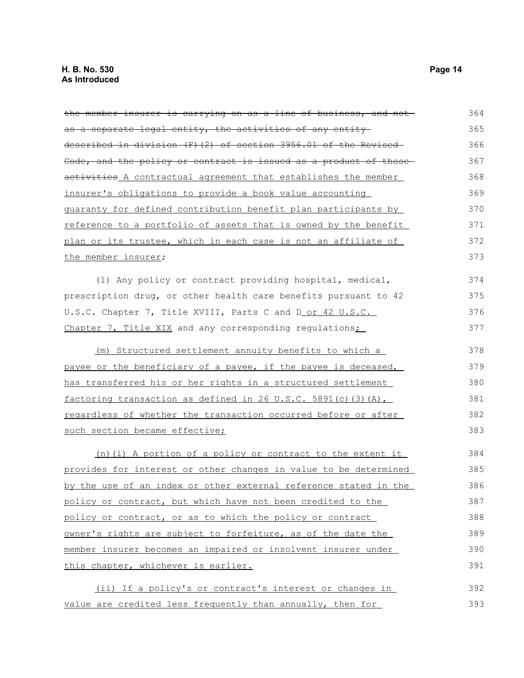the member insurer is carrying on as a line of business, and not as a separate legal entity, the activities of any entity described in division (F)(2) of section 3956.01 of the Revised Code, and the policy or contract is issued as a product of those activities A contractual agreement that establishes the member insurer's obligations to provide a book value accounting guaranty for defined contribution benefit plan participants by reference to a portfolio of assets that is owned by the benefit plan or its trustee, which in each case is not an affiliate of the member insurer; (l) Any policy or contract providing hospital, medical, prescription drug, or other health care benefits pursuant to 42 U.S.C. Chapter 7, Title XVIII, Parts C and D or 42 U.S.C. Chapter 7, Title XIX and any corresponding regulations; (m) Structured settlement annuity benefits to which a payee or the beneficiary of a payee, if the payee is deceased, has transferred his or her rights in a structured settlement factoring transaction as defined in 26 U.S.C. 5891(c)(3)(A), regardless of whether the transaction occurred before or after such section became effective; (n)(i) A portion of a policy or contract to the extent it provides for interest or other changes in value to be determined by the use of an index or other external reference stated in the policy or contract, but which have not been credited to the policy or contract, or as to which the policy or contract owner's rights are subject to forfeiture, as of the date the member insurer becomes an impaired or insolvent insurer under this chapter, whichever is earlier. (ii) If a policy's or contract's interest or changes in value are credited less frequently than annually, then for 364 365 366 367 368 369 370 371 372 373 374 375 376 377 378 379 380 381 382 383 384 385 386 387 388 389 390 391 392 393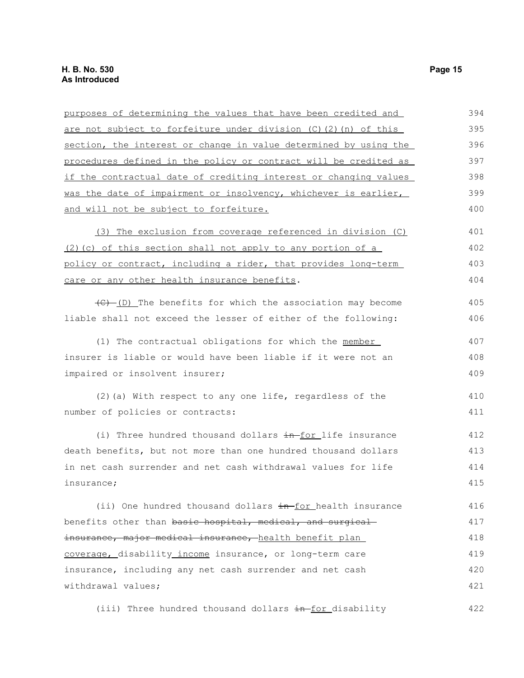| purposes of determining the values that have been credited and                          | 394 |
|-----------------------------------------------------------------------------------------|-----|
| are not subject to forfeiture under division (C) (2) (n) of this                        | 395 |
| section, the interest or change in value determined by using the                        | 396 |
| procedures defined in the policy or contract will be credited as                        | 397 |
| if the contractual date of crediting interest or changing values                        | 398 |
| was the date of impairment or insolvency, whichever is earlier,                         | 399 |
| and will not be subject to forfeiture.                                                  | 400 |
| (3) The exclusion from coverage referenced in division (C)                              | 401 |
| (2) (c) of this section shall not apply to any portion of a                             | 402 |
| policy or contract, including a rider, that provides long-term                          | 403 |
| care or any other health insurance benefits.                                            | 404 |
| $\left(\frac{f(x)-f(x)}{f(x)}\right)$ The benefits for which the association may become | 405 |
| liable shall not exceed the lesser of either of the following:                          | 406 |
| (1) The contractual obligations for which the member                                    | 407 |
| insurer is liable or would have been liable if it were not an                           | 408 |
| impaired or insolvent insurer;                                                          | 409 |
| (2) (a) With respect to any one life, regardless of the                                 | 410 |
| number of policies or contracts:                                                        | 411 |
| (i) Three hundred thousand dollars in-for life insurance                                | 412 |
| death benefits, but not more than one hundred thousand dollars                          | 413 |
| in net cash surrender and net cash withdrawal values for life                           | 414 |
| insurance;                                                                              | 415 |
| (ii) One hundred thousand dollars in for health insurance                               | 416 |
| benefits other than basic hospital, medical, and surgical-                              | 417 |
| insurance, major medical insurance, health benefit plan                                 | 418 |
| coverage, disability income insurance, or long-term care                                | 419 |
| insurance, including any net cash surrender and net cash                                | 420 |
| withdrawal values;                                                                      | 421 |
| (iii) Three hundred thousand dollars in for disability                                  | 422 |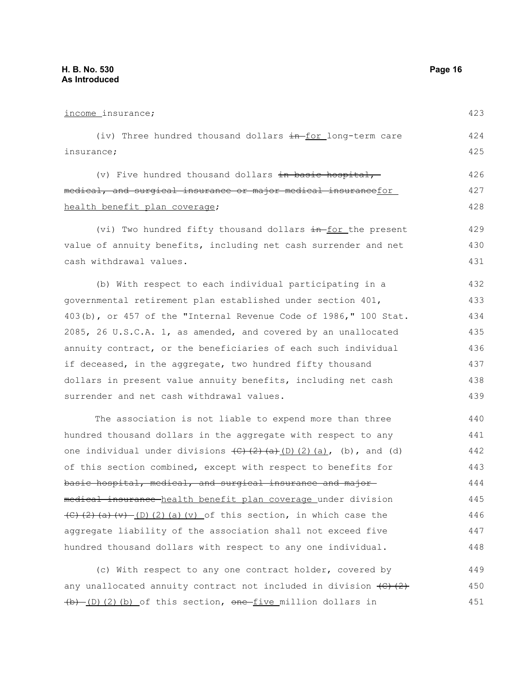| income_insurance;                                                                                                                                             | 423 |
|---------------------------------------------------------------------------------------------------------------------------------------------------------------|-----|
| (iv) Three hundred thousand dollars in for long-term care                                                                                                     | 424 |
| insurance;                                                                                                                                                    | 425 |
| (v) Five hundred thousand dollars in basic hospital,-                                                                                                         | 426 |
| medical, and surgical insurance or major medical insurancefor                                                                                                 | 427 |
| health benefit plan coverage;                                                                                                                                 | 428 |
| (vi) Two hundred fifty thousand dollars in for the present                                                                                                    | 429 |
| value of annuity benefits, including net cash surrender and net                                                                                               | 430 |
| cash withdrawal values.                                                                                                                                       | 431 |
| (b) With respect to each individual participating in a                                                                                                        | 432 |
| governmental retirement plan established under section 401,                                                                                                   | 433 |
| 403(b), or 457 of the "Internal Revenue Code of 1986," 100 Stat.                                                                                              | 434 |
| 2085, 26 U.S.C.A. 1, as amended, and covered by an unallocated                                                                                                | 435 |
| annuity contract, or the beneficiaries of each such individual                                                                                                | 436 |
| if deceased, in the aggregate, two hundred fifty thousand                                                                                                     | 437 |
| dollars in present value annuity benefits, including net cash                                                                                                 | 438 |
| surrender and net cash withdrawal values.                                                                                                                     | 439 |
| The association is not liable to expend more than three                                                                                                       | 440 |
| hundred thousand dollars in the aggregate with respect to any                                                                                                 | 441 |
| one individual under divisions $\overline{(C)}$ $\overline{(2)}$ $\overline{(a)}$ $\overline{(2)}$ $\overline{(a)}$ , $\overline{(b)}$ , and $\overline{(d)}$ | 442 |
| of this section combined, except with respect to benefits for                                                                                                 | 443 |
| basic hospital, medical, and surgical insurance and major-                                                                                                    | 444 |
| medical insurance-health benefit plan coverage under division                                                                                                 | 445 |
| $(C)$ (2) (a) (v) - (D) (2) (a) (v) of this section, in which case the                                                                                        | 446 |
| aggregate liability of the association shall not exceed five                                                                                                  | 447 |
| hundred thousand dollars with respect to any one individual.                                                                                                  | 448 |
| (c) With respect to any one contract holder, covered by                                                                                                       | 449 |

(c) With respect to any one contract holder, covered by any unallocated annuity contract not included in division  $\left(\frac{C}{C}\right)\left(\frac{2}{C}\right)$  $(b)$  (D)(2)(b) of this section, one five million dollars in 450 451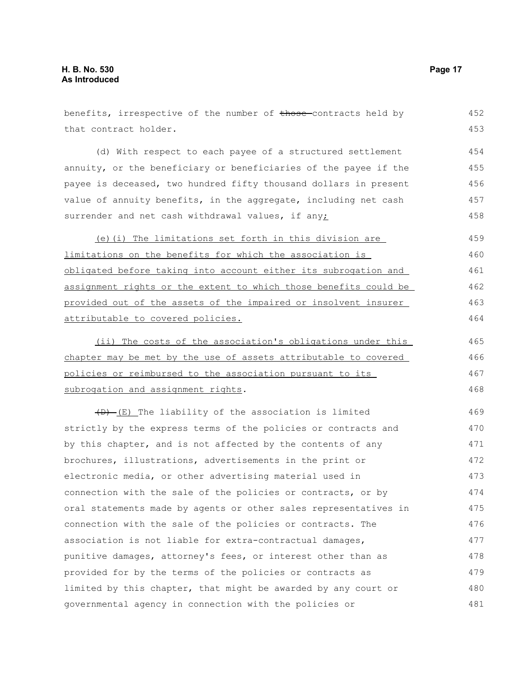| benefits, irrespective of the number of those-contracts held by  | 452 |
|------------------------------------------------------------------|-----|
| that contract holder.                                            | 453 |
| (d) With respect to each payee of a structured settlement        | 454 |
| annuity, or the beneficiary or beneficiaries of the payee if the | 455 |
| payee is deceased, two hundred fifty thousand dollars in present | 456 |
| value of annuity benefits, in the aggregate, including net cash  | 457 |
| surrender and net cash withdrawal values, if any;                | 458 |
| (e)(i) The limitations set forth in this division are            | 459 |
| limitations on the benefits for which the association is         | 460 |
| obligated before taking into account either its subrogation and  | 461 |
| assignment rights or the extent to which those benefits could be | 462 |
| provided out of the assets of the impaired or insolvent insurer  | 463 |
| attributable to covered policies.                                | 464 |
| (ii) The costs of the association's obligations under this       | 465 |
| chapter may be met by the use of assets attributable to covered  | 466 |
| policies or reimbursed to the association pursuant to its        | 467 |
| subrogation and assignment rights.                               | 468 |
| $(D)$ (E) The liability of the association is limited            | 469 |
| strictly by the express terms of the policies or contracts and   | 470 |
| by this chapter, and is not affected by the contents of any      | 471 |
| brochures, illustrations, advertisements in the print or         | 472 |
| electronic media, or other advertising material used in          | 473 |
| connection with the sale of the policies or contracts, or by     | 474 |
| oral statements made by agents or other sales representatives in | 475 |
| connection with the sale of the policies or contracts. The       | 476 |
| association is not liable for extra-contractual damages,         | 477 |
| punitive damages, attorney's fees, or interest other than as     | 478 |
| provided for by the terms of the policies or contracts as        | 479 |
| limited by this chapter, that might be awarded by any court or   | 480 |
| governmental agency in connection with the policies or           | 481 |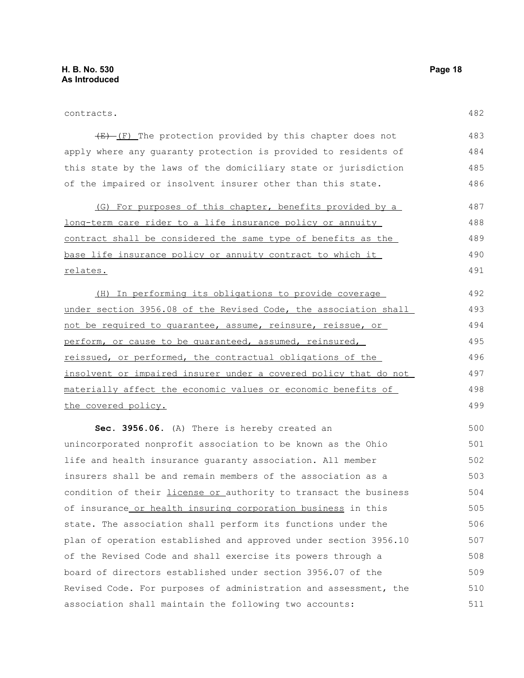499

 $(E)$  (F) The protection provided by this chapter does not apply where any guaranty protection is provided to residents of this state by the laws of the domiciliary state or jurisdiction of the impaired or insolvent insurer other than this state. 483 484 485 486

(G) For purposes of this chapter, benefits provided by a long-term care rider to a life insurance policy or annuity contract shall be considered the same type of benefits as the base life insurance policy or annuity contract to which it relates. 487 488 489 490 491

(H) In performing its obligations to provide coverage under section 3956.08 of the Revised Code, the association shall not be required to guarantee, assume, reinsure, reissue, or perform, or cause to be quaranteed, assumed, reinsured, reissued, or performed, the contractual obligations of the insolvent or impaired insurer under a covered policy that do not materially affect the economic values or economic benefits of the covered policy. 492 493 494 495 496 497 498

**Sec. 3956.06.** (A) There is hereby created an unincorporated nonprofit association to be known as the Ohio life and health insurance guaranty association. All member insurers shall be and remain members of the association as a condition of their *license or authority* to transact the business of insurance or health insuring corporation business in this state. The association shall perform its functions under the plan of operation established and approved under section 3956.10 of the Revised Code and shall exercise its powers through a board of directors established under section 3956.07 of the Revised Code. For purposes of administration and assessment, the association shall maintain the following two accounts: 500 501 502 503 504 505 506 507 508 509 510 511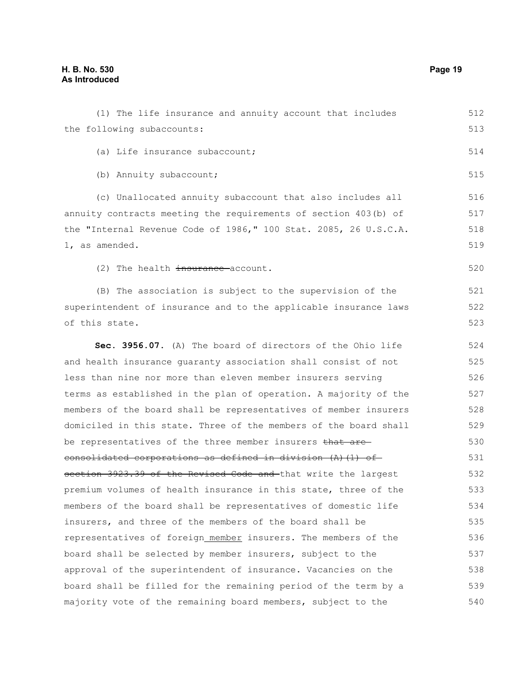538

(1) The life insurance and annuity account that includes the following subaccounts: (a) Life insurance subaccount; (b) Annuity subaccount; (c) Unallocated annuity subaccount that also includes all annuity contracts meeting the requirements of section 403(b) of the "Internal Revenue Code of 1986," 100 Stat. 2085, 26 U.S.C.A. 1, as amended. (2) The health insurance account. (B) The association is subject to the supervision of the superintendent of insurance and to the applicable insurance laws of this state. **Sec. 3956.07.** (A) The board of directors of the Ohio life and health insurance guaranty association shall consist of not less than nine nor more than eleven member insurers serving terms as established in the plan of operation. A majority of the members of the board shall be representatives of member insurers domiciled in this state. Three of the members of the board shall be representatives of the three member insurers that are consolidated corporations as defined in division (A)(1) ofsection 3923.39 of the Revised Code and that write the largest premium volumes of health insurance in this state, three of the members of the board shall be representatives of domestic life insurers, and three of the members of the board shall be representatives of foreign member insurers. The members of the board shall be selected by member insurers, subject to the 512 513 514 515 516 517 518 519 520 521 522 523 524 525 526 527 528 529 530 531 532 533 534 535 536 537

board shall be filled for the remaining period of the term by a majority vote of the remaining board members, subject to the 539 540

approval of the superintendent of insurance. Vacancies on the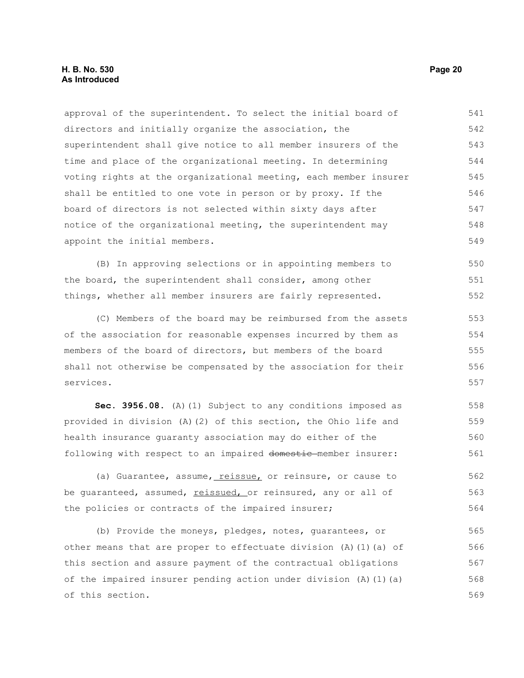#### **H. B. No. 530 Page 20 As Introduced**

approval of the superintendent. To select the initial board of directors and initially organize the association, the superintendent shall give notice to all member insurers of the time and place of the organizational meeting. In determining voting rights at the organizational meeting, each member insurer shall be entitled to one vote in person or by proxy. If the board of directors is not selected within sixty days after notice of the organizational meeting, the superintendent may appoint the initial members. 541 542 543 544 545 546 547 548 549

(B) In approving selections or in appointing members to the board, the superintendent shall consider, among other things, whether all member insurers are fairly represented. 550 551 552

(C) Members of the board may be reimbursed from the assets of the association for reasonable expenses incurred by them as members of the board of directors, but members of the board shall not otherwise be compensated by the association for their services.

Sec. 3956.08. (A)(1) Subject to any conditions imposed as provided in division (A)(2) of this section, the Ohio life and health insurance guaranty association may do either of the following with respect to an impaired domestic member insurer: 558 559 560 561

(a) Guarantee, assume, reissue, or reinsure, or cause to be quaranteed, assumed, reissued, or reinsured, any or all of the policies or contracts of the impaired insurer; 562 563 564

(b) Provide the moneys, pledges, notes, guarantees, or other means that are proper to effectuate division  $(A)$  (1)(a) of this section and assure payment of the contractual obligations of the impaired insurer pending action under division (A)(1)(a) of this section. 565 566 567 568 569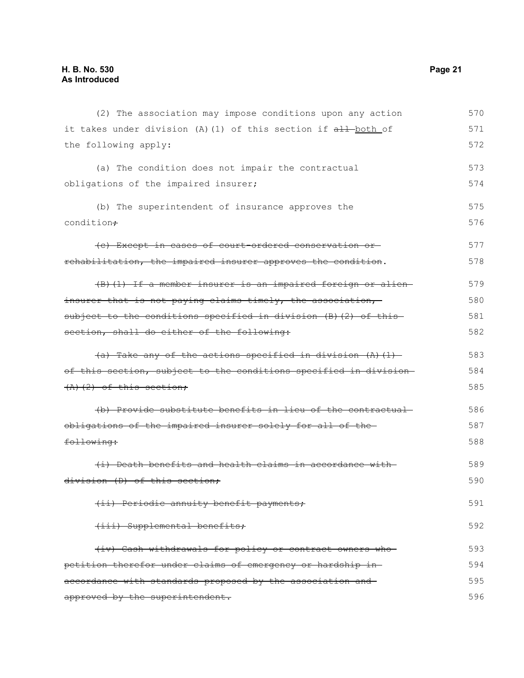| (2) The association may impose conditions upon any action        | 570 |
|------------------------------------------------------------------|-----|
| it takes under division (A) (1) of this section if all both of   | 571 |
| the following apply:                                             | 572 |
| (a) The condition does not impair the contractual                | 573 |
| obligations of the impaired insurer;                             | 574 |
| (b) The superintendent of insurance approves the                 | 575 |
| condition+                                                       | 576 |
| (c) Except in cases of court-ordered conservation or-            | 577 |
| rehabilitation, the impaired insurer approves the condition.     | 578 |
| (B) (1) If a member insurer is an impaired foreign or alien-     | 579 |
| insurer that is not paying claims timely, the association,       | 580 |
| subject to the conditions specified in division (B) (2) of this- | 581 |
| section, shall do either of the following:                       | 582 |
| $(a)$ Take any of the actions specified in division $(A)$ $(1)$  | 583 |
| of this section, subject to the conditions specified in division | 584 |
| $(A)$ $(2)$ of this section;                                     | 585 |
| (b) Provide substitute benefits in lieu of the contractual       | 586 |
| obligations of the impaired insurer solely for all of the-       | 587 |
| following:                                                       | 588 |
| (i) Death benefits and health claims in accordance with-         | 589 |
| division (D) of this section;                                    | 590 |
| (ii) Periodic annuity benefit payments;                          | 591 |
| (iii) Supplemental benefits;                                     | 592 |
| (iv) Cash withdrawals for policy or contract owners who          | 593 |
| petition therefor under claims of emergency or hardship in-      | 594 |
| accordance with standards proposed by the association and-       | 595 |
| approved by the superintendent.                                  | 596 |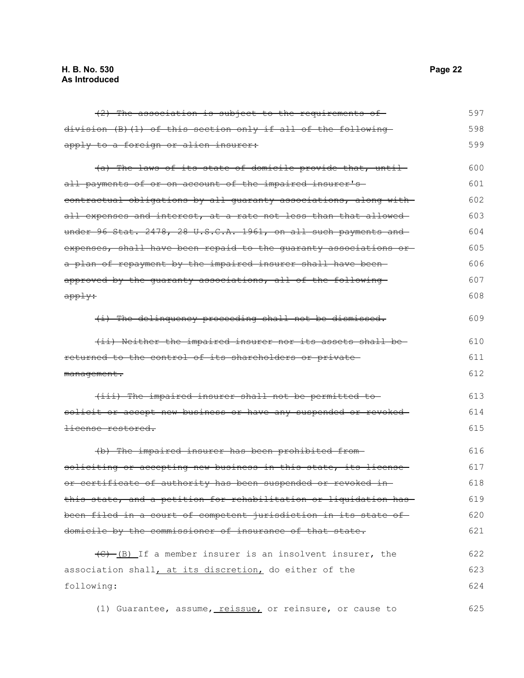| $(2)$ The association is subject to the requirements of                 | 597 |
|-------------------------------------------------------------------------|-----|
| division (B)(1) of this section only if all of the following            | 598 |
| apply to a foreign or alien insurer:                                    | 599 |
| (a) The laws of its state of domicile provide that, until-              | 600 |
| all payments of or on account of the impaired insurer's                 | 601 |
| contractual obligations by all guaranty associations, along with        | 602 |
| all expenses and interest, at a rate not less than that allowed         | 603 |
| under 96 Stat. 2478, 28 U.S.C.A. 1961, on all such payments and         | 604 |
| expenses, shall have been repaid to the quaranty associations or        | 605 |
| a plan of repayment by the impaired insurer shall have been-            | 606 |
| approved by the guaranty associations, all of the following             | 607 |
| <del>apply:</del>                                                       | 608 |
| (i) The delinquency proceeding shall not be dismissed.                  | 609 |
| (ii) Neither the impaired insurer nor its assets shall be-              | 610 |
| returned to the control of its shareholders or private-                 | 611 |
| management.                                                             | 612 |
| (iii) The impaired insurer shall not be permitted to                    | 613 |
| solicit or accept new business or have any suspended or revoked-        | 614 |
| license restored.                                                       | 615 |
| (b) The impaired insurer has been prohibited from-                      | 616 |
| soliciting or accepting new business in this state, its license         | 617 |
| or certificate of authority has been suspended or revoked in-           | 618 |
| this state, and a petition for rehabilitation or liquidation has        | 619 |
| been filed in a court of competent jurisdiction in its state of         | 620 |
| domicile by the commissioner of insurance of that state.                | 621 |
| $\overline{(C) - (B)}$ If a member insurer is an insolvent insurer, the | 622 |
| association shall, at its discretion, do either of the                  | 623 |
| following:                                                              | 624 |
| (1) Guarantee, assume, reissue, or reinsure, or cause to                | 625 |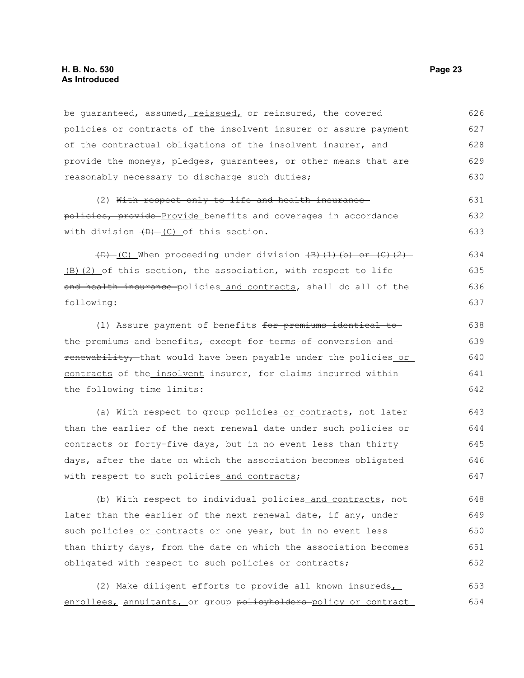be quaranteed, assumed, reissued, or reinsured, the covered policies or contracts of the insolvent insurer or assure payment of the contractual obligations of the insolvent insurer, and provide the moneys, pledges, guarantees, or other means that are reasonably necessary to discharge such duties; 626 627 628 629 630

(2) With respect only to life and health insurance policies, provide Provide benefits and coverages in accordance with division  $(D)$  (C) of this section. 631 632 633

 $(D)$  (C) When proceeding under division  $(B)$  (1)(b) or (C)(2)  $(B)$ (2) of this section, the association, with respect to  $\pm i\epsilon$ and health insurance policies and contracts, shall do all of the following: 634 635 636 637

(1) Assure payment of benefits for premiums identical to the premiums and benefits, except for terms of conversion and renewability, that would have been payable under the policies or contracts of the insolvent insurer, for claims incurred within the following time limits:

(a) With respect to group policies or contracts, not later than the earlier of the next renewal date under such policies or contracts or forty-five days, but in no event less than thirty days, after the date on which the association becomes obligated with respect to such policies and contracts; 643 644 645 646 647

(b) With respect to individual policies and contracts, not later than the earlier of the next renewal date, if any, under such policies or contracts or one year, but in no event less than thirty days, from the date on which the association becomes obligated with respect to such policies or contracts; 648 649 650 651 652

(2) Make diligent efforts to provide all known insureds enrollees, annuitants, or group policyholders policy or contract 653 654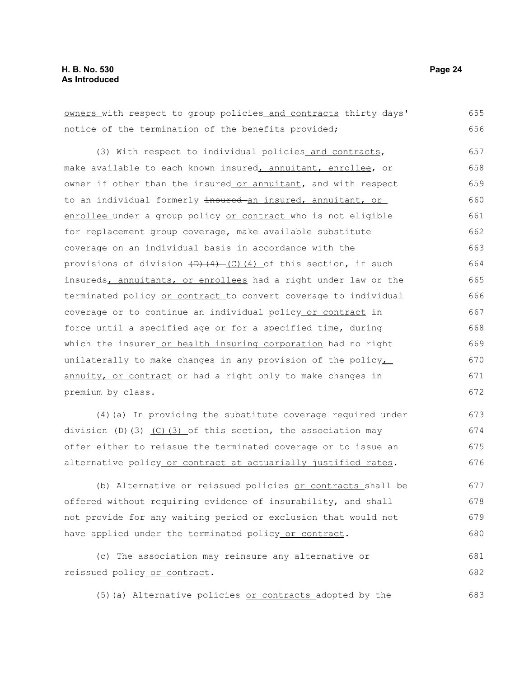683

| owners with respect to group policies and contracts thirty days'              | 655 |
|-------------------------------------------------------------------------------|-----|
| notice of the termination of the benefits provided;                           | 656 |
| (3) With respect to individual policies and contracts,                        | 657 |
| make available to each known insured, annuitant, enrollee, or                 | 658 |
| owner if other than the insured or annuitant, and with respect                | 659 |
| to an individual formerly insured an insured, annuitant, or                   | 660 |
| enrollee under a group policy or contract who is not eligible                 | 661 |
| for replacement group coverage, make available substitute                     | 662 |
| coverage on an individual basis in accordance with the                        | 663 |
| provisions of division $(D)$ $(D)$ $(4)$ $(C)$ $(4)$ of this section, if such | 664 |
| insureds, annuitants, or enrollees had a right under law or the               | 665 |
| terminated policy or contract to convert coverage to individual               | 666 |
| coverage or to continue an individual policy or contract in                   | 667 |
| force until a specified age or for a specified time, during                   | 668 |
| which the insurer or health insuring corporation had no right                 | 669 |
| unilaterally to make changes in any provision of the policy                   | 670 |
| annuity, or contract or had a right only to make changes in                   | 671 |
| premium by class.                                                             | 672 |
| (4) (a) In providing the substitute coverage required under                   | 673 |
| division $(D)$ $(3)$ $(C)$ $(3)$ of this section, the association may         | 674 |
| offer either to reissue the terminated coverage or to issue an                | 675 |
| alternative policy or contract at actuarially justified rates.                | 676 |
| (b) Alternative or reissued policies or contracts shall be                    | 677 |
| offered without requiring evidence of insurability, and shall                 | 678 |
| not provide for any waiting period or exclusion that would not                | 679 |
| have applied under the terminated policy or contract.                         | 680 |
| (c) The association may reinsure any alternative or                           | 681 |
| reissued policy or contract.                                                  | 682 |

(5)(a) Alternative policies or contracts adopted by the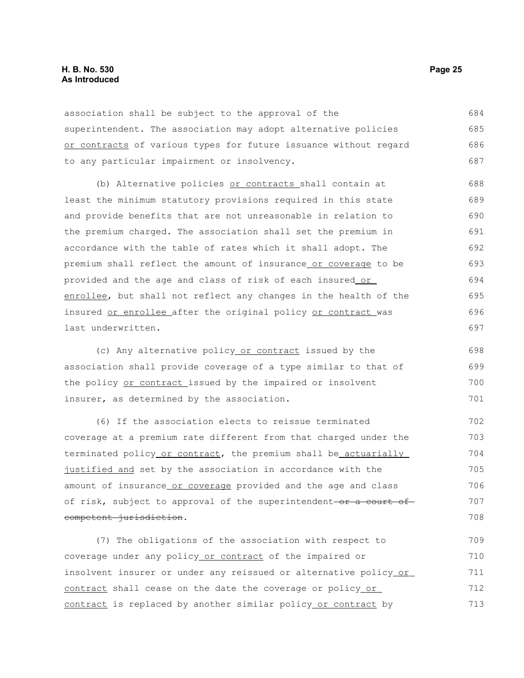#### **H. B. No. 530 Page 25 As Introduced**

association shall be subject to the approval of the superintendent. The association may adopt alternative policies or contracts of various types for future issuance without regard to any particular impairment or insolvency. 684 685 686 687

(b) Alternative policies or contracts shall contain at least the minimum statutory provisions required in this state and provide benefits that are not unreasonable in relation to the premium charged. The association shall set the premium in accordance with the table of rates which it shall adopt. The premium shall reflect the amount of insurance or coverage to be provided and the age and class of risk of each insured or enrollee, but shall not reflect any changes in the health of the insured or enrollee after the original policy or contract was last underwritten. 688 689 690 691 692 693 694 695 696 697

(c) Any alternative policy or contract issued by the association shall provide coverage of a type similar to that of the policy or contract issued by the impaired or insolvent insurer, as determined by the association. 698 699 700 701

(6) If the association elects to reissue terminated coverage at a premium rate different from that charged under the terminated policy or contract, the premium shall be actuarially justified and set by the association in accordance with the amount of insurance or coverage provided and the age and class of risk, subject to approval of the superintendent-or a court of competent jurisdiction.

(7) The obligations of the association with respect to coverage under any policy or contract of the impaired or insolvent insurer or under any reissued or alternative policy or contract shall cease on the date the coverage or policy or contract is replaced by another similar policy or contract by 709 710 711 712 713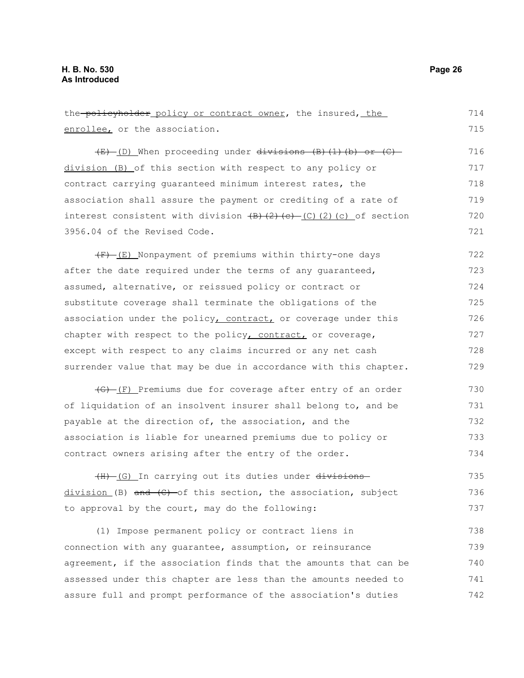enrollee, or the association. (E) (D) When proceeding under divisions (B)(1)(b) or (C) division (B) of this section with respect to any policy or contract carrying guaranteed minimum interest rates, the association shall assure the payment or crediting of a rate of interest consistent with division  $(B)$   $(2)$   $(c)$   $(2)$   $(c)$  of section 3956.04 of the Revised Code.  $(F)$  (E) Nonpayment of premiums within thirty-one days after the date required under the terms of any guaranteed, assumed, alternative, or reissued policy or contract or substitute coverage shall terminate the obligations of the association under the policy, contract, or coverage under this chapter with respect to the policy, contract, or coverage, except with respect to any claims incurred or any net cash surrender value that may be due in accordance with this chapter. (G) (F) Premiums due for coverage after entry of an order of liquidation of an insolvent insurer shall belong to, and be payable at the direction of, the association, and the association is liable for unearned premiums due to policy or contract owners arising after the entry of the order. (H) (G) In carrying out its duties under divisions  $division (B)$  and  $(C)$  of this section, the association, subject to approval by the court, may do the following: 715 716 717 718 719 720 721 722 723 724 725 726 727 728 729 730 731 732 733 734 735 736 737

the policyholder policy or contract owner, the insured, the

(1) Impose permanent policy or contract liens in connection with any guarantee, assumption, or reinsurance agreement, if the association finds that the amounts that can be assessed under this chapter are less than the amounts needed to assure full and prompt performance of the association's duties 738 739 740 741 742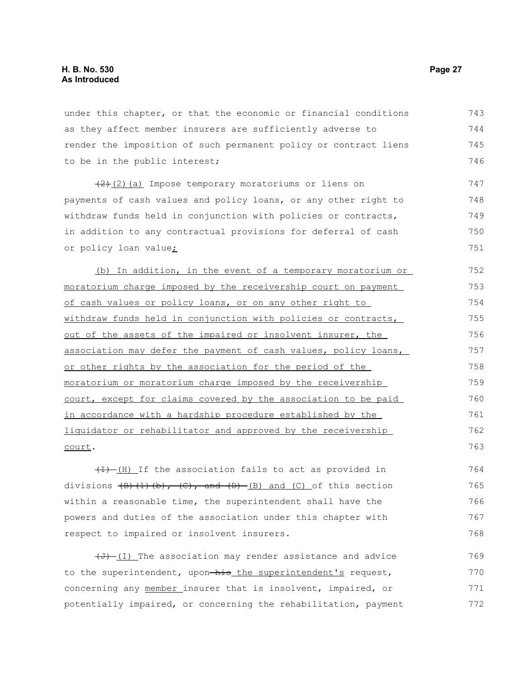under this chapter, or that the economic or financial conditions as they affect member insurers are sufficiently adverse to render the imposition of such permanent policy or contract liens to be in the public interest; 743 744 745 746

(2)(a) Impose temporary moratoriums or liens on payments of cash values and policy loans, or any other right to withdraw funds held in conjunction with policies or contracts, in addition to any contractual provisions for deferral of cash or policy loan value; 747 748 749 750 751

(b) In addition, in the event of a temporary moratorium or moratorium charge imposed by the receivership court on payment of cash values or policy loans, or on any other right to withdraw funds held in conjunction with policies or contracts, out of the assets of the impaired or insolvent insurer, the association may defer the payment of cash values, policy loans, or other rights by the association for the period of the moratorium or moratorium charge imposed by the receivership court, except for claims covered by the association to be paid in accordance with a hardship procedure established by the liquidator or rehabilitator and approved by the receivership court. 752 753 754 755 756 757 758 759 760 761 762 763

 $(H)$  If the association fails to act as provided in divisions  $\left(\frac{B}{C}\right)$ ,  $\left(\frac{C}{C}\right)$ , and  $\left(\frac{D}{C}\right)$  and  $\left(\frac{C}{C}\right)$  of this section within a reasonable time, the superintendent shall have the powers and duties of the association under this chapter with respect to impaired or insolvent insurers. 764 765 766 767 768

 $(\overline{J})$  (I) The association may render assistance and advice to the superintendent, upon-his the superintendent's request, concerning any member insurer that is insolvent, impaired, or potentially impaired, or concerning the rehabilitation, payment 769 770 771 772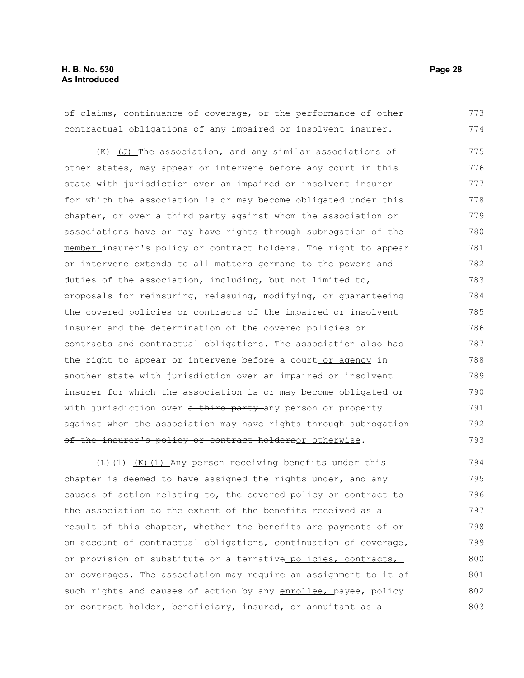#### **H. B. No. 530 Page 28 As Introduced**

of claims, continuance of coverage, or the performance of other contractual obligations of any impaired or insolvent insurer. 773 774

 $(H)$  (J) The association, and any similar associations of other states, may appear or intervene before any court in this state with jurisdiction over an impaired or insolvent insurer for which the association is or may become obligated under this chapter, or over a third party against whom the association or associations have or may have rights through subrogation of the member insurer's policy or contract holders. The right to appear or intervene extends to all matters germane to the powers and duties of the association, including, but not limited to, proposals for reinsuring, reissuing, modifying, or guaranteeing the covered policies or contracts of the impaired or insolvent insurer and the determination of the covered policies or contracts and contractual obligations. The association also has the right to appear or intervene before a court or agency in another state with jurisdiction over an impaired or insolvent insurer for which the association is or may become obligated or with jurisdiction over a third party any person or property against whom the association may have rights through subrogation of the insurer's policy or contract holdersor otherwise. 775 776 777 778 779 780 781 782 783 784 785 786 787 788 789 790 791 792 793

 $\left(\frac{L}{L}\right)\left(1\right)$  (K)(1) Any person receiving benefits under this chapter is deemed to have assigned the rights under, and any causes of action relating to, the covered policy or contract to the association to the extent of the benefits received as a result of this chapter, whether the benefits are payments of or on account of contractual obligations, continuation of coverage, or provision of substitute or alternative policies, contracts, or coverages. The association may require an assignment to it of such rights and causes of action by any enrollee, payee, policy or contract holder, beneficiary, insured, or annuitant as a 794 795 796 797 798 799 800 801 802 803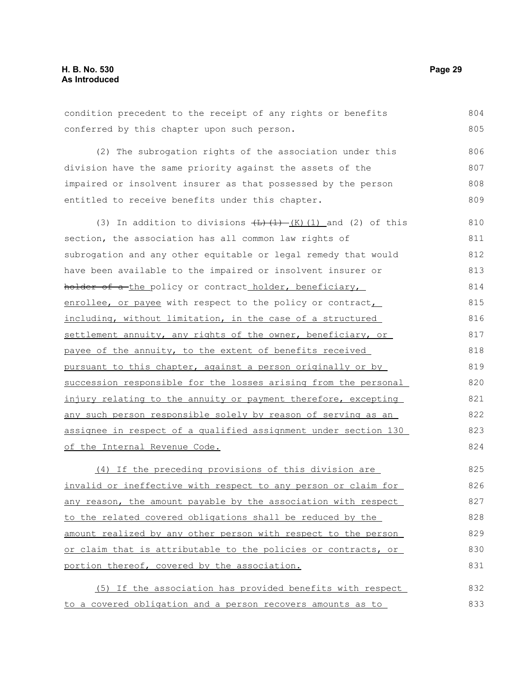condition precedent to the receipt of any rights or benefits conferred by this chapter upon such person. (2) The subrogation rights of the association under this division have the same priority against the assets of the impaired or insolvent insurer as that possessed by the person entitled to receive benefits under this chapter. (3) In addition to divisions  $\left(\frac{L}{L}\right)$  (K)(1) and (2) of this section, the association has all common law rights of subrogation and any other equitable or legal remedy that would have been available to the impaired or insolvent insurer or holder of a-the policy or contract holder, beneficiary, enrollee, or payee with respect to the policy or contract, including, without limitation, in the case of a structured settlement annuity, any rights of the owner, beneficiary, or payee of the annuity, to the extent of benefits received pursuant to this chapter, against a person originally or by succession responsible for the losses arising from the personal injury relating to the annuity or payment therefore, excepting any such person responsible solely by reason of serving as an assignee in respect of a qualified assignment under section 130 of the Internal Revenue Code. (4) If the preceding provisions of this division are invalid or ineffective with respect to any person or claim for any reason, the amount payable by the association with respect to the related covered obligations shall be reduced by the amount realized by any other person with respect to the person or claim that is attributable to the policies or contracts, or portion thereof, covered by the association. 804 805 806 807 808 809 810 811 812 813 814 815 816 817 818 819 820 821 822 823 824 825 826 827 828 829 830 831

(5) If the association has provided benefits with respect to a covered obligation and a person recovers amounts as to 832 833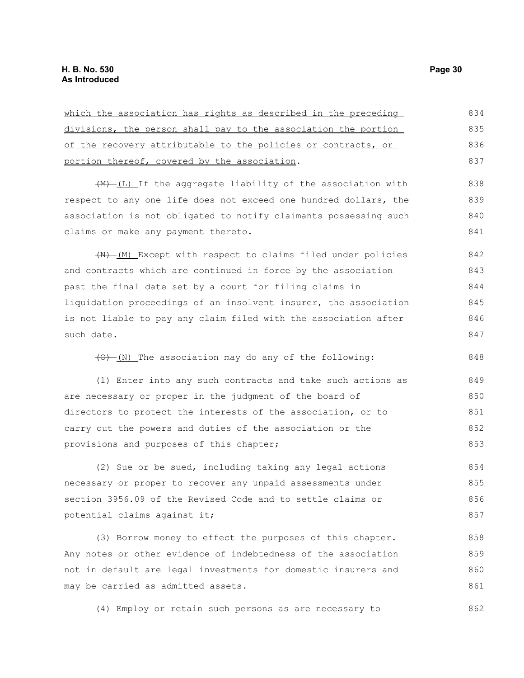| which the association has rights as described in the preceding       | 834 |
|----------------------------------------------------------------------|-----|
| divisions, the person shall pay to the association the portion       | 835 |
| of the recovery attributable to the policies or contracts, or        | 836 |
| portion thereof, covered by the association.                         | 837 |
| $\frac{+}{+}$ (L) If the aggregate liability of the association with | 838 |
| respect to any one life does not exceed one hundred dollars, the     | 839 |
|                                                                      |     |
| association is not obligated to notify claimants possessing such     | 840 |
| claims or make any payment thereto.                                  | 841 |
| (N) [M] Except with respect to claims filed under policies           | 842 |
| and contracts which are continued in force by the association        | 843 |
| past the final date set by a court for filing claims in              | 844 |
| liquidation proceedings of an insolvent insurer, the association     | 845 |
| is not liable to pay any claim filed with the association after      | 846 |
| such date.                                                           | 847 |
|                                                                      |     |
| (0) (N) The association may do any of the following:                 | 848 |
| (1) Enter into any such contracts and take such actions as           | 849 |
| are necessary or proper in the judgment of the board of              | 850 |
| directors to protect the interests of the association, or to         | 851 |
| carry out the powers and duties of the association or the            | 852 |
| provisions and purposes of this chapter;                             | 853 |
| (2) Sue or be sued, including taking any legal actions               | 854 |
| necessary or proper to recover any unpaid assessments under          | 855 |
|                                                                      |     |
| section 3956.09 of the Revised Code and to settle claims or          | 856 |
| potential claims against it;                                         | 857 |
| (3) Borrow money to effect the purposes of this chapter.             | 858 |
| Any notes or other evidence of indebtedness of the association       | 859 |
| not in default are legal investments for domestic insurers and       | 860 |
| may be carried as admitted assets.                                   | 861 |

(4) Employ or retain such persons as are necessary to 862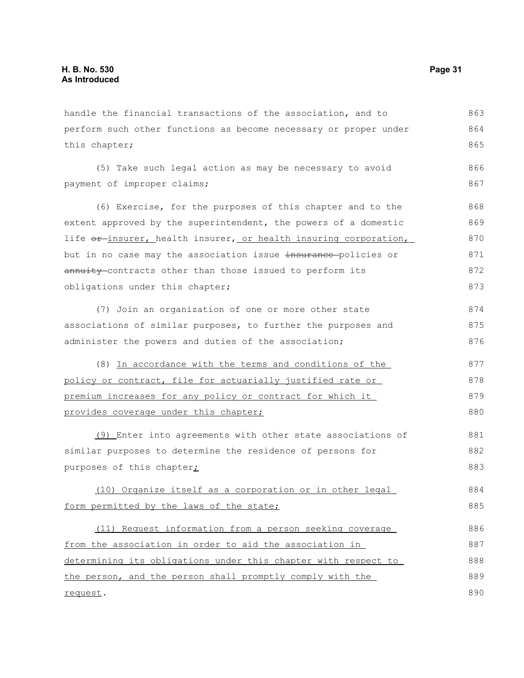handle the financial transactions of the association, and to perform such other functions as become necessary or proper under this chapter; 863 864 865

(5) Take such legal action as may be necessary to avoid payment of improper claims; 866 867

(6) Exercise, for the purposes of this chapter and to the extent approved by the superintendent, the powers of a domestic life or insurer, health insurer, or health insuring corporation, but in no case may the association issue insurance policies or annuity contracts other than those issued to perform its obligations under this chapter; 868 869 870 871 872 873

(7) Join an organization of one or more other state associations of similar purposes, to further the purposes and administer the powers and duties of the association; 874 875 876

(8) In accordance with the terms and conditions of the policy or contract, file for actuarially justified rate or premium increases for any policy or contract for which it provides coverage under this chapter; 877 878 879 880

(9) Enter into agreements with other state associations of similar purposes to determine the residence of persons for purposes of this chapter<sub>i</sub> 881 882 883

(10) Organize itself as a corporation or in other legal form permitted by the laws of the state; 884 885

(11) Request information from a person seeking coverage from the association in order to aid the association in determining its obligations under this chapter with respect to the person, and the person shall promptly comply with the request. 886 887 888 889 890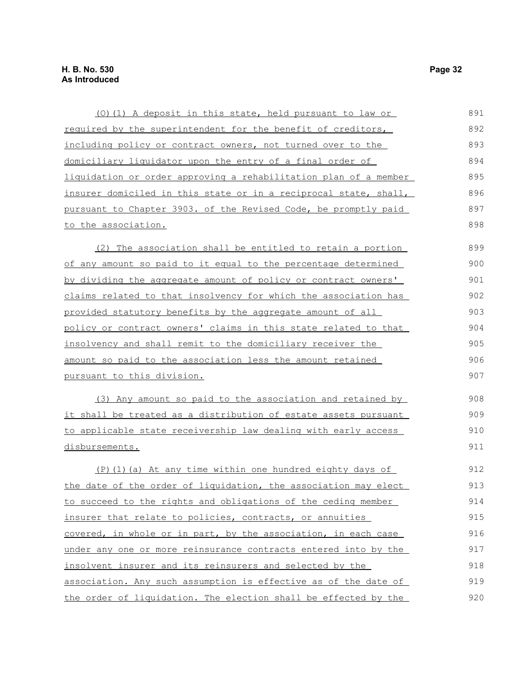| (0) (1) A deposit in this state, held pursuant to law or         | 891 |
|------------------------------------------------------------------|-----|
| required by the superintendent for the benefit of creditors,     | 892 |
| including policy or contract owners, not turned over to the      | 893 |
| domiciliary liquidator upon the entry of a final order of        | 894 |
| liquidation or order approving a rehabilitation plan of a member | 895 |
| insurer domiciled in this state or in a reciprocal state, shall, | 896 |
| pursuant to Chapter 3903. of the Revised Code, be promptly paid  | 897 |
| to the association.                                              | 898 |
| (2) The association shall be entitled to retain a portion        | 899 |
| of any amount so paid to it equal to the percentage determined   | 900 |
| by dividing the aggregate amount of policy or contract owners'   | 901 |
| claims related to that insolvency for which the association has  | 902 |
| provided statutory benefits by the aggregate amount of all       | 903 |
| policy or contract owners' claims in this state related to that  | 904 |
| insolvency and shall remit to the domiciliary receiver the       | 905 |
| amount so paid to the association less the amount retained       | 906 |
| <u>pursuant to this division.</u>                                | 907 |
| (3) Any amount so paid to the association and retained by        | 908 |
| it shall be treated as a distribution of estate assets pursuant  | 909 |
| to applicable state receivership law dealing with early access   | 910 |
| disbursements.                                                   | 911 |
| $(P)$ (1) (a) At any time within one hundred eighty days of      | 912 |
| the date of the order of liquidation, the association may elect  | 913 |
| to succeed to the rights and obligations of the ceding member    | 914 |
| insurer that relate to policies, contracts, or annuities         | 915 |
| covered, in whole or in part, by the association, in each case   | 916 |
| under any one or more reinsurance contracts entered into by the  | 917 |
| insolvent insurer and its reinsurers and selected by the         | 918 |
| association. Any such assumption is effective as of the date of  | 919 |
| the order of liquidation. The election shall be effected by the  | 920 |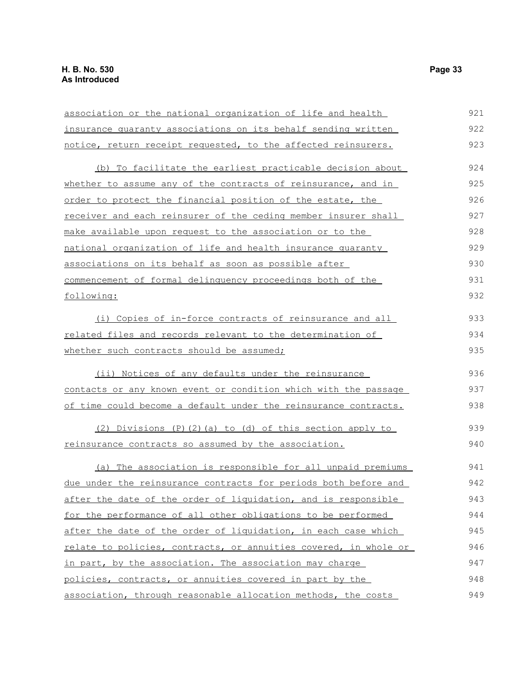| association or the national organization of life and health            | 921 |
|------------------------------------------------------------------------|-----|
| insurance quaranty associations on its behalf sending written          | 922 |
| notice, return receipt requested, to the affected reinsurers.          | 923 |
| (b) To facilitate the earliest practicable decision about              | 924 |
| whether to assume any of the contracts of reinsurance, and in          | 925 |
| order to protect the financial position of the estate, the             | 926 |
| receiver and each reinsurer of the ceding member insurer shall         | 927 |
| make available upon request to the association or to the               | 928 |
| national organization of life and health insurance quaranty            | 929 |
| associations on its behalf as soon as possible after                   | 930 |
| commencement of formal delinquency proceedings both of the             | 931 |
| following:                                                             | 932 |
| (i) Copies of in-force contracts of reinsurance and all                | 933 |
| <u>related files and records relevant to the determination of</u>      | 934 |
| whether such contracts should be assumed;                              | 935 |
| (ii) Notices of any defaults under the reinsurance                     | 936 |
| contacts or any known event or condition which with the passage        | 937 |
| of time could become a default under the reinsurance contracts.        | 938 |
| $(2)$ Divisions $(P)$ $(2)$ $(a)$ to $(d)$ of this section apply to    | 939 |
| <u>reinsurance contracts so assumed by the association.</u>            | 940 |
| (a) The association is responsible for all unpaid premiums             | 941 |
| <u>due under the reinsurance contracts for periods both before and</u> | 942 |
| after the date of the order of liquidation, and is responsible         | 943 |
| for the performance of all other obligations to be performed           | 944 |
| after the date of the order of liquidation, in each case which         | 945 |
| relate to policies, contracts, or annuities covered, in whole or       | 946 |
| in part, by the association. The association may charge                | 947 |
| policies, contracts, or annuities covered in part by the               | 948 |
| association, through reasonable allocation methods, the costs          | 949 |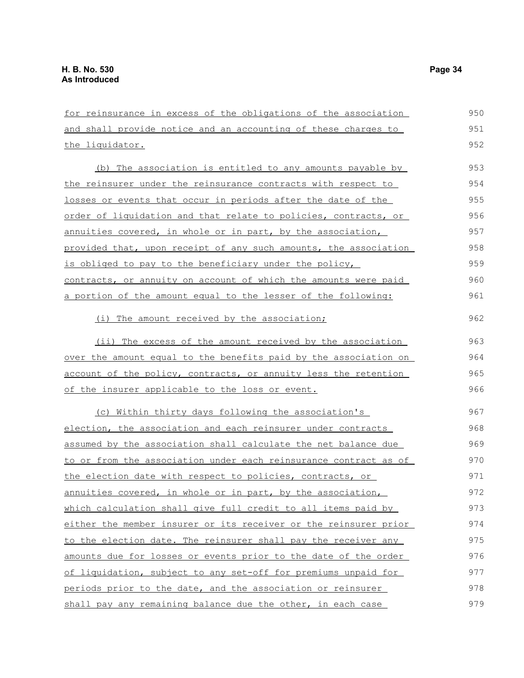| for reinsurance in excess of the obligations of the association  | 950 |
|------------------------------------------------------------------|-----|
| and shall provide notice and an accounting of these charges to   | 951 |
| the liquidator.                                                  | 952 |
| The association is entitled to any amounts payable by<br>(b)     | 953 |
| the reinsurer under the reinsurance contracts with respect to    | 954 |
| losses or events that occur in periods after the date of the     | 955 |
| order of liquidation and that relate to policies, contracts, or  | 956 |
| annuities covered, in whole or in part, by the association,      | 957 |
| provided that, upon receipt of any such amounts, the association | 958 |
| is obliged to pay to the beneficiary under the policy,           | 959 |
| contracts, or annuity on account of which the amounts were paid  | 960 |
| a portion of the amount equal to the lesser of the following:    | 961 |
| (i) The amount received by the association;                      | 962 |
| (ii) The excess of the amount received by the association        | 963 |
| over the amount equal to the benefits paid by the association on | 964 |
| account of the policy, contracts, or annuity less the retention  | 965 |
| of the insurer applicable to the loss or event.                  | 966 |
| (c) Within thirty days following the association's               | 967 |
| election, the association and each reinsurer under contracts     | 968 |
| assumed by the association shall calculate the net balance due   | 969 |
| to or from the association under each reinsurance contract as of | 970 |
| the election date with respect to policies, contracts, or        | 971 |
| annuities covered, in whole or in part, by the association,      | 972 |
| which calculation shall give full credit to all items paid by    | 973 |
| either the member insurer or its receiver or the reinsurer prior | 974 |
| to the election date. The reinsurer shall pay the receiver any   | 975 |
| amounts due for losses or events prior to the date of the order  | 976 |
| of liquidation, subject to any set-off for premiums unpaid for   | 977 |
| periods prior to the date, and the association or reinsurer      | 978 |
| shall pay any remaining balance due the other, in each case      | 979 |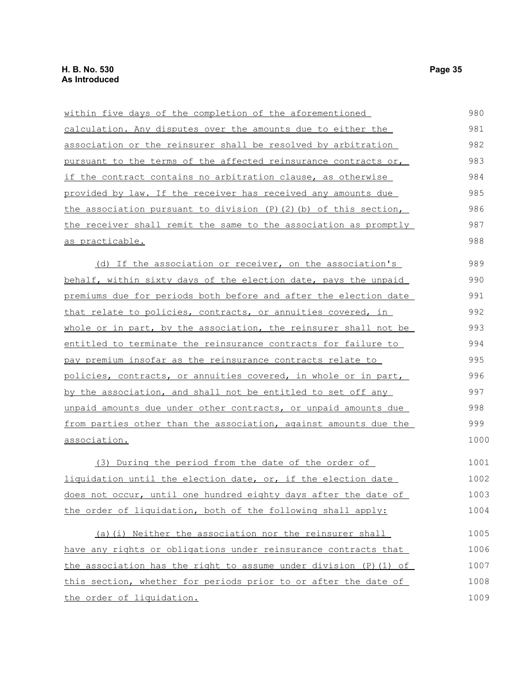| within five days of the completion of the aforementioned         | 980  |
|------------------------------------------------------------------|------|
| calculation. Any disputes over the amounts due to either the     | 981  |
| association or the reinsurer shall be resolved by arbitration    | 982  |
| pursuant to the terms of the affected reinsurance contracts or,  | 983  |
| if the contract contains no arbitration clause, as otherwise     | 984  |
| provided by law. If the receiver has received any amounts due    | 985  |
| the association pursuant to division (P)(2)(b) of this section,  | 986  |
| the receiver shall remit the same to the association as promptly | 987  |
| <u>as practicable.</u>                                           | 988  |
| (d) If the association or receiver, on the association's         | 989  |
| behalf, within sixty days of the election date, pays the unpaid  | 990  |
| premiums due for periods both before and after the election date | 991  |
| that relate to policies, contracts, or annuities covered, in     | 992  |
| whole or in part, by the association, the reinsurer shall not be | 993  |
| entitled to terminate the reinsurance contracts for failure to   | 994  |
| pay premium insofar as the reinsurance contracts relate to       | 995  |
| policies, contracts, or annuities covered, in whole or in part,  | 996  |
| by the association, and shall not be entitled to set off any     | 997  |
| unpaid amounts due under other contracts, or unpaid amounts due  | 998  |
| from parties other than the association, against amounts due the | 999  |
| association.                                                     | 1000 |
| (3) During the period from the date of the order of              | 1001 |
| liquidation until the election date, or, if the election date    | 1002 |
|                                                                  |      |

does not occur, until one hundred eighty days after the date of the order of liquidation, both of the following shall apply: 1003 1004

(a)(i) Neither the association nor the reinsurer shall have any rights or obligations under reinsurance contracts that the association has the right to assume under division (P)(1) of this section, whether for periods prior to or after the date of the order of liquidation. 1005 1006 1007 1008 1009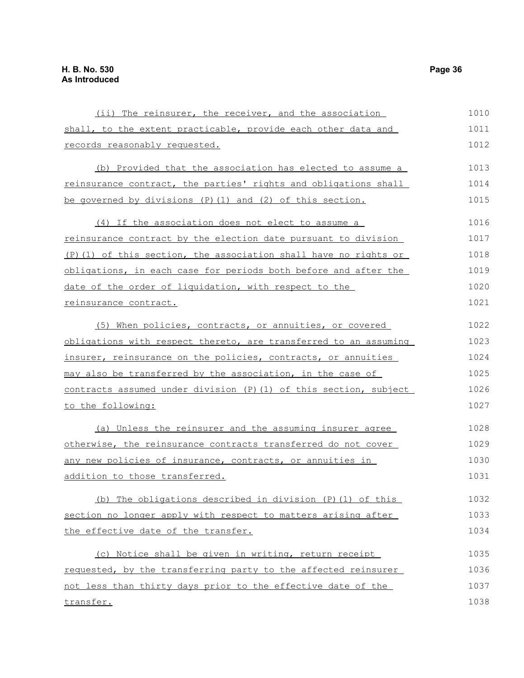| (ii) The reinsurer, the receiver, and the association             | 1010 |
|-------------------------------------------------------------------|------|
| shall, to the extent practicable, provide each other data and     | 1011 |
| records reasonably requested.                                     | 1012 |
| (b) Provided that the association has elected to assume a         | 1013 |
| reinsurance contract, the parties' rights and obligations shall   | 1014 |
| be governed by divisions $(P)$ $(1)$ and $(2)$ of this section.   | 1015 |
| (4) If the association does not elect to assume a                 | 1016 |
| reinsurance contract by the election date pursuant to division    | 1017 |
| (P) (1) of this section, the association shall have no rights or  | 1018 |
| obligations, in each case for periods both before and after the   | 1019 |
| date of the order of liquidation, with respect to the             | 1020 |
| reinsurance contract.                                             | 1021 |
| (5) When policies, contracts, or annuities, or covered            | 1022 |
| obligations with respect thereto, are transferred to an assuming  | 1023 |
| insurer, reinsurance on the policies, contracts, or annuities     | 1024 |
| may also be transferred by the association, in the case of        | 1025 |
| contracts assumed under division (P) (1) of this section, subject | 1026 |
| to the following:                                                 | 1027 |
| (a) Unless the reinsurer and the assuming insurer agree           | 1028 |
| otherwise, the reinsurance contracts transferred do not cover     | 1029 |
| any new policies of insurance, contracts, or annuities in         | 1030 |
| addition to those transferred.                                    | 1031 |
| (b) The obligations described in division $(P)$ (1) of this       | 1032 |
| section no longer apply with respect to matters arising after     | 1033 |
| the effective date of the transfer.                               | 1034 |
| (c) Notice shall be given in writing, return receipt              | 1035 |
| requested, by the transferring party to the affected reinsurer    | 1036 |
| not less than thirty days prior to the effective date of the      | 1037 |
| transfer.                                                         | 1038 |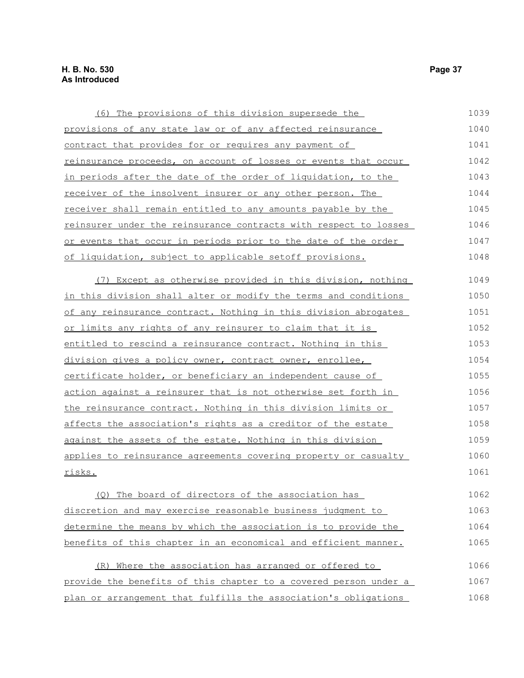risks.

| (6) The provisions of this division supersede the                 | 1039 |
|-------------------------------------------------------------------|------|
| provisions of any state law or of any affected reinsurance        | 1040 |
| contract that provides for or requires any payment of             | 1041 |
| reinsurance proceeds, on account of losses or events that occur   | 1042 |
| in periods after the date of the order of liquidation, to the     | 1043 |
| receiver of the insolvent insurer or any other person. The        | 1044 |
| receiver shall remain entitled to any amounts payable by the      | 1045 |
| reinsurer under the reinsurance contracts with respect to losses  | 1046 |
| or events that occur in periods prior to the date of the order    | 1047 |
| of liquidation, subject to applicable setoff provisions.          | 1048 |
| (7) Except as otherwise provided in this division, nothing        | 1049 |
| in this division shall alter or modify the terms and conditions   | 1050 |
| of any reinsurance contract. Nothing in this division abrogates   | 1051 |
| or limits any rights of any reinsurer to claim that it is         | 1052 |
| entitled to rescind a reinsurance contract. Nothing in this       | 1053 |
| division gives a policy owner, contract owner, enrollee,          | 1054 |
| certificate holder, or beneficiary an independent cause of        | 1055 |
| action against a reinsurer that is not otherwise set forth in     | 1056 |
| the reinsurance contract. Nothing in this division limits or      | 1057 |
| affects the association's rights as a creditor of the estate      | 1058 |
| <u>against the assets of the estate. Nothing in this division</u> | 1059 |
| applies to reinsurance agreements covering property or casualty   | 1060 |

(Q) The board of directors of the association has discretion and may exercise reasonable business judgment to determine the means by which the association is to provide the benefits of this chapter in an economical and efficient manner. 1062 1063 1064 1065

(R) Where the association has arranged or offered to provide the benefits of this chapter to a covered person under a plan or arrangement that fulfills the association's obligations 1066 1067 1068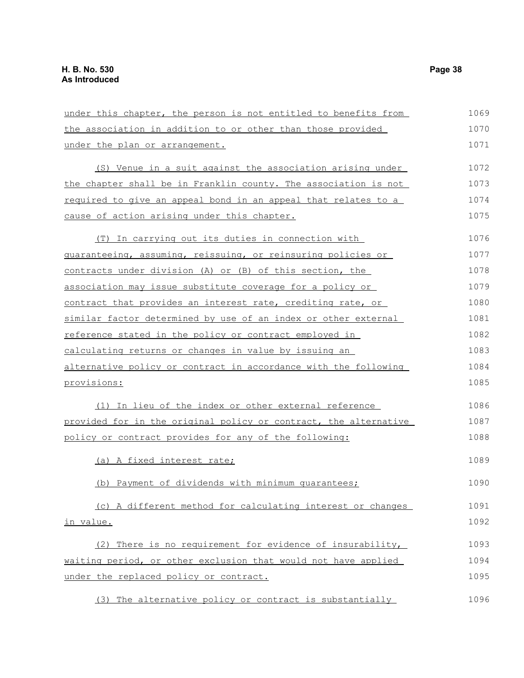| under this chapter, the person is not entitled to benefits from  | 1069 |
|------------------------------------------------------------------|------|
| the association in addition to or other than those provided      | 1070 |
| under the plan or arrangement.                                   | 1071 |
| (S) Venue in a suit against the association arising under        | 1072 |
| the chapter shall be in Franklin county. The association is not  | 1073 |
| required to give an appeal bond in an appeal that relates to a   | 1074 |
| cause of action arising under this chapter.                      | 1075 |
| (T) In carrying out its duties in connection with                | 1076 |
| guaranteeing, assuming, reissuing, or reinsuring policies or     | 1077 |
| contracts under division (A) or (B) of this section, the         | 1078 |
| association may issue substitute coverage for a policy or        | 1079 |
| contract that provides an interest rate, crediting rate, or      | 1080 |
| similar factor determined by use of an index or other external   | 1081 |
| reference stated in the policy or contract employed in           | 1082 |
| calculating returns or changes in value by issuing an            | 1083 |
| alternative policy or contract in accordance with the following  | 1084 |
| <u>provisions:</u>                                               | 1085 |
| (1) In lieu of the index or other external reference             | 1086 |
| provided for in the original policy or contract, the alternative | 1087 |
| policy or contract provides for any of the following:            | 1088 |
| (a) A fixed interest rate;                                       | 1089 |
| (b) Payment of dividends with minimum quarantees;                | 1090 |
| (c) A different method for calculating interest or changes       | 1091 |
| in value.                                                        | 1092 |
| There is no requirement for evidence of insurability,<br>(2)     | 1093 |
| waiting period, or other exclusion that would not have applied   | 1094 |
| under the replaced policy or contract.                           | 1095 |
| (3) The alternative policy or contract is substantially          | 1096 |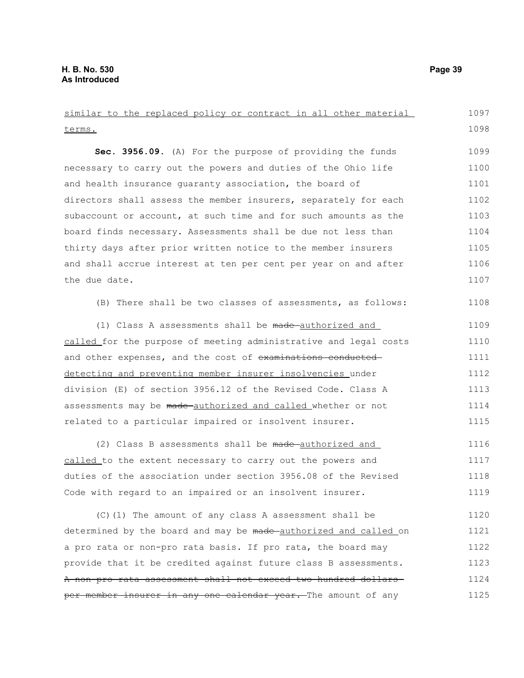terms. **Sec. 3956.09.** (A) For the purpose of providing the funds necessary to carry out the powers and duties of the Ohio life and health insurance guaranty association, the board of directors shall assess the member insurers, separately for each subaccount or account, at such time and for such amounts as the board finds necessary. Assessments shall be due not less than thirty days after prior written notice to the member insurers and shall accrue interest at ten per cent per year on and after the due date. (B) There shall be two classes of assessments, as follows: (1) Class A assessments shall be made-authorized and called for the purpose of meeting administrative and legal costs and other expenses, and the cost of examinations conducteddetecting and preventing member insurer insolvencies under division (E) of section 3956.12 of the Revised Code. Class A assessments may be made authorized and called whether or not related to a particular impaired or insolvent insurer. (2) Class B assessments shall be made-authorized and called to the extent necessary to carry out the powers and duties of the association under section 3956.08 of the Revised Code with regard to an impaired or an insolvent insurer. (C)(1) The amount of any class A assessment shall be determined by the board and may be made authorized and called on a pro rata or non-pro rata basis. If pro rata, the board may provide that it be credited against future class B assessments. A non-pro rata assessment shall not exceed two hundred dollars 1098 1099 1100 1101 1102 1103 1104 1105 1106 1107 1108 1109 1110 1111 1112 1113 1114 1115 1116 1117 1118 1119 1120 1121 1122 1123 1124

per member insurer in any one calendar year. The amount of any

similar to the replaced policy or contract in all other material

1097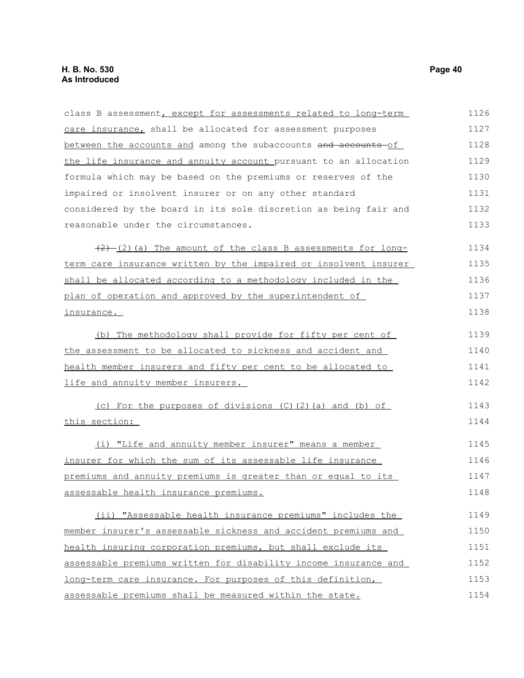| class B assessment, except for assessments related to long-term  | 1126 |
|------------------------------------------------------------------|------|
| care insurance, shall be allocated for assessment purposes       | 1127 |
| between the accounts and among the subaccounts and accounts of   | 1128 |
| the life insurance and annuity account pursuant to an allocation | 1129 |
| formula which may be based on the premiums or reserves of the    | 1130 |
| impaired or insolvent insurer or on any other standard           | 1131 |
| considered by the board in its sole discretion as being fair and | 1132 |
| reasonable under the circumstances.                              | 1133 |
| $(2)$ (2) (a) The amount of the class B assessments for long-    | 1134 |
| term care insurance written by the impaired or insolvent insurer | 1135 |
| shall be allocated according to a methodology included in the    | 1136 |
| plan of operation and approved by the superintendent of          | 1137 |
| <u>insurance.</u>                                                | 1138 |
| (b) The methodology shall provide for fifty per cent of          | 1139 |
| the assessment to be allocated to sickness and accident and      | 1140 |
| health member insurers and fifty per cent to be allocated to     | 1141 |
| life and annuity member insurers.                                | 1142 |
| (c) For the purposes of divisions (C)(2)(a) and (b) of           | 1143 |
| this section:                                                    | 1144 |
| (i) "Life and annuity member insurer" means a member             | 1145 |
| insurer for which the sum of its assessable life insurance       | 1146 |
| premiums and annuity premiums is greater than or equal to its    | 1147 |
| assessable health insurance premiums.                            | 1148 |
| (ii) "Assessable health insurance premiums" includes the         | 1149 |
| member insurer's assessable sickness and accident premiums and   | 1150 |
| health insuring corporation premiums, but shall exclude its      | 1151 |
| assessable premiums written for disability income insurance and  | 1152 |
| long-term care insurance. For purposes of this definition,       | 1153 |
| assessable premiums shall be measured within the state.          | 1154 |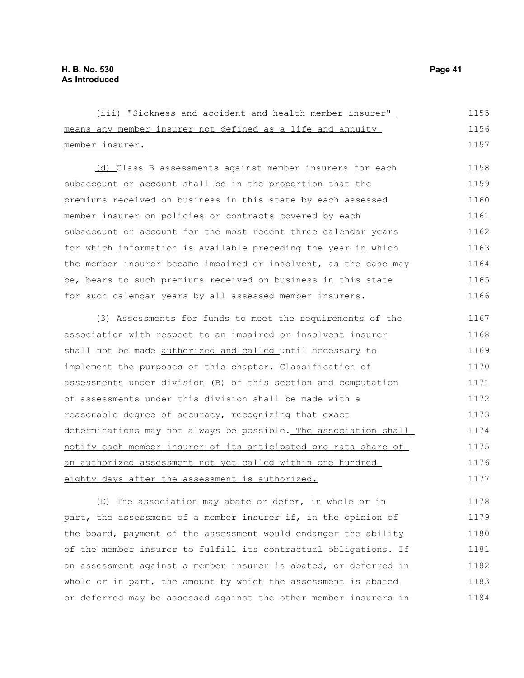| (iii) "Sickness and accident and health member insurer"          | 1155 |
|------------------------------------------------------------------|------|
| means any member insurer not defined as a life and annuity       | 1156 |
| member insurer.                                                  | 1157 |
| (d) Class B assessments against member insurers for each         | 1158 |
| subaccount or account shall be in the proportion that the        | 1159 |
| premiums received on business in this state by each assessed     | 1160 |
| member insurer on policies or contracts covered by each          | 1161 |
| subaccount or account for the most recent three calendar years   | 1162 |
| for which information is available preceding the year in which   | 1163 |
| the member insurer became impaired or insolvent, as the case may | 1164 |
| be, bears to such premiums received on business in this state    | 1165 |
| for such calendar years by all assessed member insurers.         | 1166 |
| (3) Assessments for funds to meet the requirements of the        | 1167 |
| association with respect to an impaired or insolvent insurer     | 1168 |
| shall not be made-authorized and called until necessary to       | 1169 |
| implement the purposes of this chapter. Classification of        | 1170 |
| assessments under division (B) of this section and computation   | 1171 |
| of assessments under this division shall be made with a          | 1172 |
| reasonable degree of accuracy, recognizing that exact            | 1173 |
| determinations may not always be possible. The association shall | 1174 |
| notify each member insurer of its anticipated pro rata share of  | 1175 |
| an authorized assessment not yet called within one hundred       | 1176 |
| eighty days after the assessment is authorized.                  | 1177 |
| (D) The association may abate or defer, in whole or in           | 1178 |

(D) The association may abate or defer, in part, the assessment of a member insurer if, in the opinion of the board, payment of the assessment would endanger the ability of the member insurer to fulfill its contractual obligations. If an assessment against a member insurer is abated, or deferred in whole or in part, the amount by which the assessment is abated or deferred may be assessed against the other member insurers in 1179 1180 1181 1182 1183 1184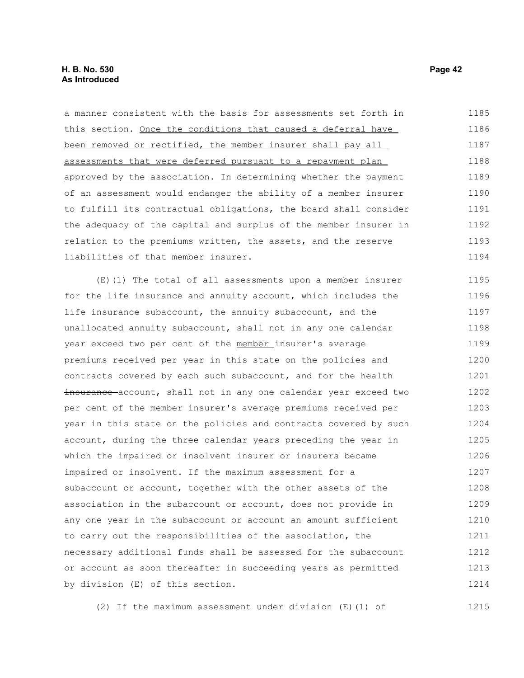a manner consistent with the basis for assessments set forth in this section. Once the conditions that caused a deferral have been removed or rectified, the member insurer shall pay all assessments that were deferred pursuant to a repayment plan approved by the association. In determining whether the payment of an assessment would endanger the ability of a member insurer to fulfill its contractual obligations, the board shall consider the adequacy of the capital and surplus of the member insurer in relation to the premiums written, the assets, and the reserve liabilities of that member insurer. (E)(1) The total of all assessments upon a member insurer for the life insurance and annuity account, which includes the life insurance subaccount, the annuity subaccount, and the unallocated annuity subaccount, shall not in any one calendar year exceed two per cent of the member insurer's average premiums received per year in this state on the policies and contracts covered by each such subaccount, and for the health insurance account, shall not in any one calendar year exceed two per cent of the member insurer's average premiums received per year in this state on the policies and contracts covered by such account, during the three calendar years preceding the year in which the impaired or insolvent insurer or insurers became impaired or insolvent. If the maximum assessment for a subaccount or account, together with the other assets of the association in the subaccount or account, does not provide in any one year in the subaccount or account an amount sufficient to carry out the responsibilities of the association, the necessary additional funds shall be assessed for the subaccount or account as soon thereafter in succeeding years as permitted by division (E) of this section. 1185 1186 1187 1188 1189 1190 1191 1192 1193 1194 1195 1196 1197 1198 1199 1200 1201 1202 1203 1204 1205 1206 1207 1208 1209 1210 1211 1212 1213 1214

(2) If the maximum assessment under division (E)(1) of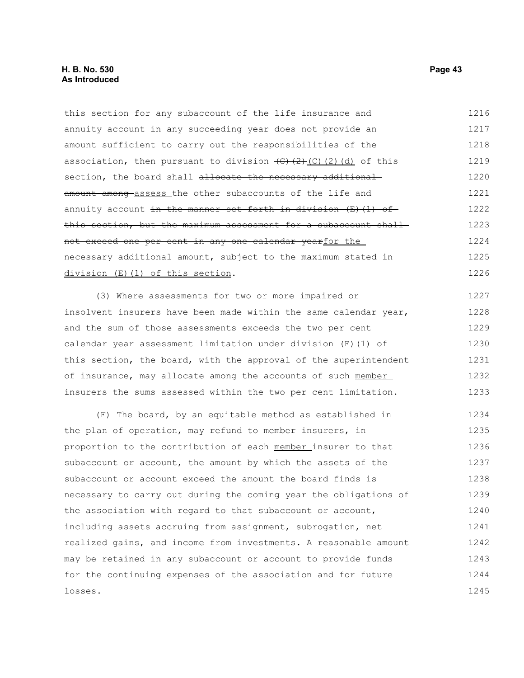this section for any subaccount of the life insurance and annuity account in any succeeding year does not provide an amount sufficient to carry out the responsibilities of the association, then pursuant to division  $\left(\frac{C}{C}\right)\left(\frac{C}{C}\right)$  (d) of this section, the board shall allocate the necessary additional amount among assess the other subaccounts of the life and annuity account in the manner set forth in division  $(E)$  (1) of this section, but the maximum assessment for a subaccount shallnot exceed one per cent in any one calendar yearfor the necessary additional amount, subject to the maximum stated in division (E)(1) of this section. 1216 1217 1218 1219 1220 1221 1222 1223 1224 1225 1226

(3) Where assessments for two or more impaired or insolvent insurers have been made within the same calendar year, and the sum of those assessments exceeds the two per cent calendar year assessment limitation under division (E)(1) of this section, the board, with the approval of the superintendent of insurance, may allocate among the accounts of such member insurers the sums assessed within the two per cent limitation. 1227 1228 1229 1230 1231 1232 1233

(F) The board, by an equitable method as established in the plan of operation, may refund to member insurers, in proportion to the contribution of each member insurer to that subaccount or account, the amount by which the assets of the subaccount or account exceed the amount the board finds is necessary to carry out during the coming year the obligations of the association with regard to that subaccount or account, including assets accruing from assignment, subrogation, net realized gains, and income from investments. A reasonable amount may be retained in any subaccount or account to provide funds for the continuing expenses of the association and for future losses. 1234 1235 1236 1237 1238 1239 1240 1241 1242 1243 1244 1245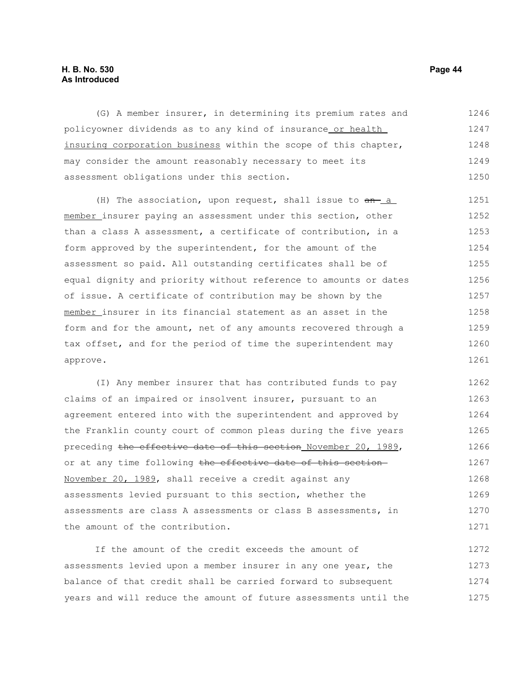#### **H. B. No. 530 Page 44 As Introduced**

(G) A member insurer, in determining its premium rates and policyowner dividends as to any kind of insurance or health insuring corporation business within the scope of this chapter, may consider the amount reasonably necessary to meet its assessment obligations under this section. 1246 1247 1248 1249 1250

(H) The association, upon request, shall issue to  $an - a$ member insurer paying an assessment under this section, other than a class A assessment, a certificate of contribution, in a form approved by the superintendent, for the amount of the assessment so paid. All outstanding certificates shall be of equal dignity and priority without reference to amounts or dates of issue. A certificate of contribution may be shown by the member insurer in its financial statement as an asset in the form and for the amount, net of any amounts recovered through a tax offset, and for the period of time the superintendent may approve. 1251 1252 1253 1254 1255 1256 1257 1258 1259 1260 1261

(I) Any member insurer that has contributed funds to pay claims of an impaired or insolvent insurer, pursuant to an agreement entered into with the superintendent and approved by the Franklin county court of common pleas during the five years preceding the effective date of this section November 20, 1989, or at any time following the effective date of this section-November 20, 1989, shall receive a credit against any assessments levied pursuant to this section, whether the assessments are class A assessments or class B assessments, in the amount of the contribution. 1262 1263 1264 1265 1266 1267 1268 1269 1270 1271

If the amount of the credit exceeds the amount of assessments levied upon a member insurer in any one year, the balance of that credit shall be carried forward to subsequent years and will reduce the amount of future assessments until the 1272 1273 1274 1275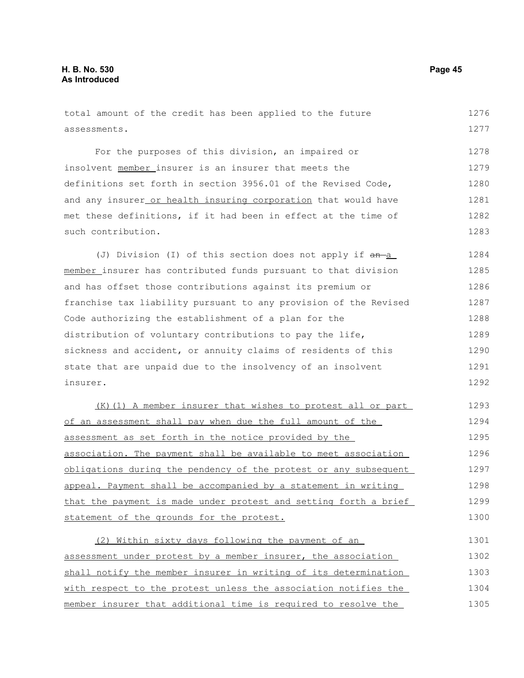#### total amount of the credit has been applied to the future assessments. For the purposes of this division, an impaired or insolvent member insurer is an insurer that meets the definitions set forth in section 3956.01 of the Revised Code, and any insurer or health insuring corporation that would have met these definitions, if it had been in effect at the time of such contribution. (J) Division (I) of this section does not apply if  $an-a$ member insurer has contributed funds pursuant to that division and has offset those contributions against its premium or franchise tax liability pursuant to any provision of the Revised Code authorizing the establishment of a plan for the distribution of voluntary contributions to pay the life, sickness and accident, or annuity claims of residents of this state that are unpaid due to the insolvency of an insolvent insurer. (K)(1) A member insurer that wishes to protest all or part of an assessment shall pay when due the full amount of the assessment as set forth in the notice provided by the association. The payment shall be available to meet association obligations during the pendency of the protest or any subsequent appeal. Payment shall be accompanied by a statement in writing that the payment is made under protest and setting forth a brief statement of the grounds for the protest. (2) Within sixty days following the payment of an assessment under protest by a member insurer, the association 1276 1277 1278 1279 1280 1281 1282 1283 1284 1285 1286 1287 1288 1289 1290 1291 1292 1293 1294 1295 1296 1297 1298 1299 1300 1301 1302

shall notify the member insurer in writing of its determination with respect to the protest unless the association notifies the member insurer that additional time is required to resolve the 1303 1304 1305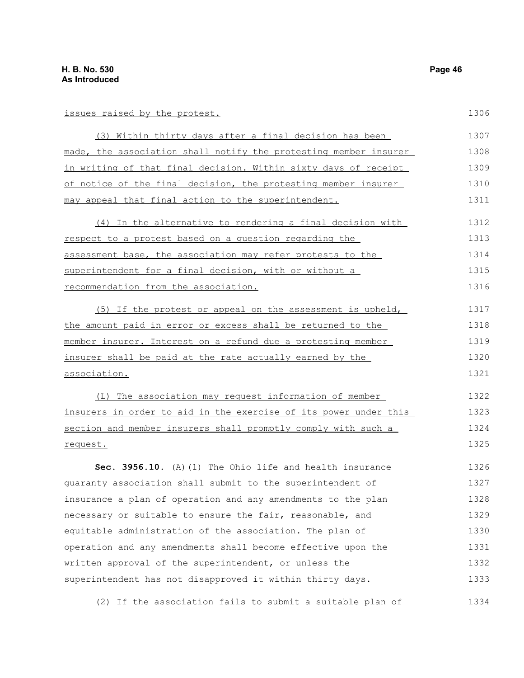### issues raised by the protest.

| (3) Within thirty days after a final decision has been           | 1307 |
|------------------------------------------------------------------|------|
| made, the association shall notify the protesting member insurer | 1308 |
| in writing of that final decision. Within sixty days of receipt  | 1309 |
| of notice of the final decision, the protesting member insurer   | 1310 |
| may appeal that final action to the superintendent.              | 1311 |
| (4) In the alternative to rendering a final decision with        | 1312 |
| respect to a protest based on a question regarding the           | 1313 |
| assessment base, the association may refer protests to the       | 1314 |
| superintendent for a final decision, with or without a           | 1315 |
| recommendation from the association.                             | 1316 |
| (5) If the protest or appeal on the assessment is upheld,        | 1317 |
| the amount paid in error or excess shall be returned to the      | 1318 |
| member insurer. Interest on a refund due a protesting member     | 1319 |
| insurer shall be paid at the rate actually earned by the         | 1320 |
| association.                                                     | 1321 |
| (L) The association may request information of member            | 1322 |
| insurers in order to aid in the exercise of its power under this | 1323 |
| section and member insurers shall promptly comply with such a    | 1324 |
| request.                                                         | 1325 |
| Sec. 3956.10. (A) (1) The Ohio life and health insurance         | 1326 |
| quaranty association shall submit to the superintendent of       | 1327 |
| insurance a plan of operation and any amendments to the plan     | 1328 |
| necessary or suitable to ensure the fair, reasonable, and        | 1329 |
| equitable administration of the association. The plan of         | 1330 |
| operation and any amendments shall become effective upon the     | 1331 |
| written approval of the superintendent, or unless the            | 1332 |
| superintendent has not disapproved it within thirty days.        | 1333 |
| (2) If the association fails to submit a suitable plan of        | 1334 |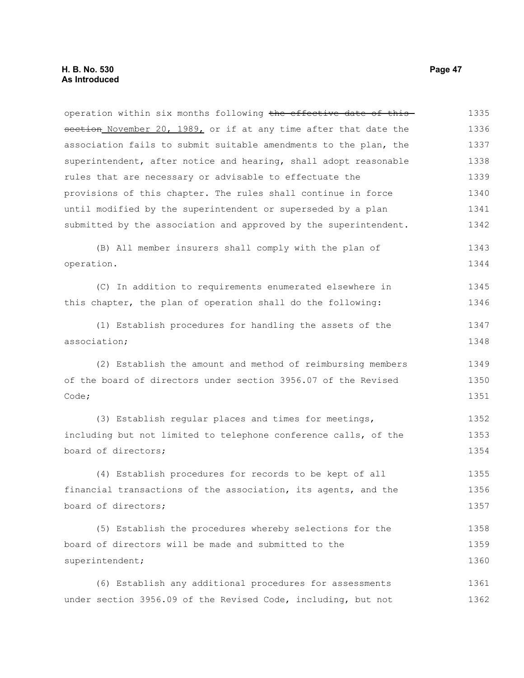operation within six months following the effective date of this section November 20, 1989, or if at any time after that date the association fails to submit suitable amendments to the plan, the superintendent, after notice and hearing, shall adopt reasonable rules that are necessary or advisable to effectuate the provisions of this chapter. The rules shall continue in force until modified by the superintendent or superseded by a plan submitted by the association and approved by the superintendent. 1335 1336 1337 1338 1339 1340 1341 1342

(B) All member insurers shall comply with the plan of operation. 1343 1344

(C) In addition to requirements enumerated elsewhere in this chapter, the plan of operation shall do the following: 1345 1346

(1) Establish procedures for handling the assets of the association; 1347 1348

(2) Establish the amount and method of reimbursing members of the board of directors under section 3956.07 of the Revised Code; 1349 1350 1351

(3) Establish regular places and times for meetings, including but not limited to telephone conference calls, of the board of directors; 1352 1353 1354

(4) Establish procedures for records to be kept of all financial transactions of the association, its agents, and the board of directors; 1355 1356 1357

(5) Establish the procedures whereby selections for the board of directors will be made and submitted to the superintendent; 1358 1359 1360

(6) Establish any additional procedures for assessments under section 3956.09 of the Revised Code, including, but not 1361 1362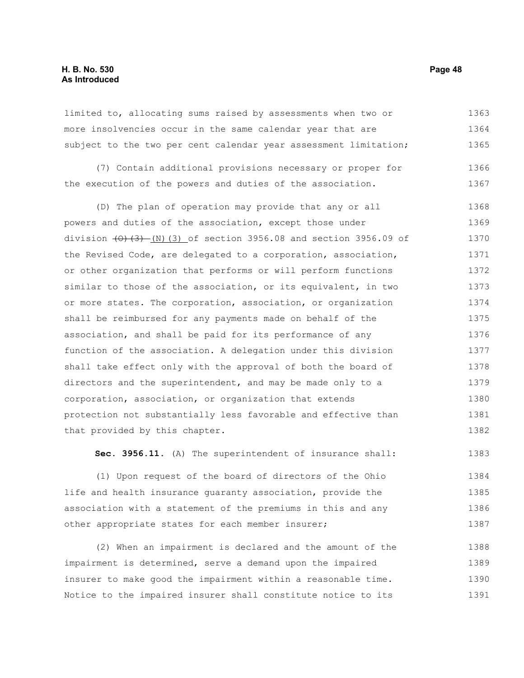#### **H. B. No. 530 Page 48 As Introduced**

limited to, allocating sums raised by assessments when two or more insolvencies occur in the same calendar year that are subject to the two per cent calendar year assessment limitation; 1363 1364 1365

(7) Contain additional provisions necessary or proper for the execution of the powers and duties of the association. 1366 1367

(D) The plan of operation may provide that any or all powers and duties of the association, except those under division  $(0)$   $(3)$   $(N)$   $(3)$  of section 3956.08 and section 3956.09 of the Revised Code, are delegated to a corporation, association, or other organization that performs or will perform functions similar to those of the association, or its equivalent, in two or more states. The corporation, association, or organization shall be reimbursed for any payments made on behalf of the association, and shall be paid for its performance of any function of the association. A delegation under this division shall take effect only with the approval of both the board of directors and the superintendent, and may be made only to a corporation, association, or organization that extends protection not substantially less favorable and effective than that provided by this chapter. 1368 1369 1370 1371 1372 1373 1374 1375 1376 1377 1378 1379 1380 1381 1382

**Sec. 3956.11.** (A) The superintendent of insurance shall: 1383

(1) Upon request of the board of directors of the Ohio life and health insurance guaranty association, provide the association with a statement of the premiums in this and any other appropriate states for each member insurer; 1384 1385 1386 1387

(2) When an impairment is declared and the amount of the impairment is determined, serve a demand upon the impaired insurer to make good the impairment within a reasonable time. Notice to the impaired insurer shall constitute notice to its 1388 1389 1390 1391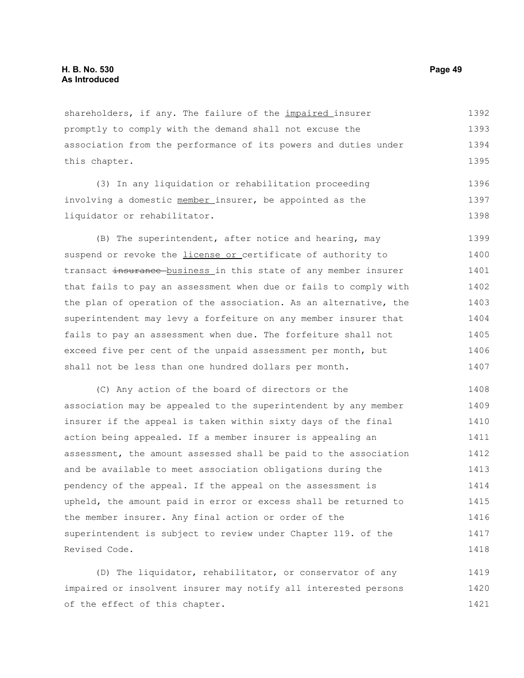shareholders, if any. The failure of the *impaired* insurer promptly to comply with the demand shall not excuse the association from the performance of its powers and duties under this chapter. 1392 1393 1394 1395

(3) In any liquidation or rehabilitation proceeding involving a domestic member insurer, be appointed as the liquidator or rehabilitator. 1396 1397 1398

(B) The superintendent, after notice and hearing, may suspend or revoke the *license or* certificate of authority to transact insurance business in this state of any member insurer that fails to pay an assessment when due or fails to comply with the plan of operation of the association. As an alternative, the superintendent may levy a forfeiture on any member insurer that fails to pay an assessment when due. The forfeiture shall not exceed five per cent of the unpaid assessment per month, but shall not be less than one hundred dollars per month. 1399 1400 1401 1402 1403 1404 1405 1406 1407

(C) Any action of the board of directors or the association may be appealed to the superintendent by any member insurer if the appeal is taken within sixty days of the final action being appealed. If a member insurer is appealing an assessment, the amount assessed shall be paid to the association and be available to meet association obligations during the pendency of the appeal. If the appeal on the assessment is upheld, the amount paid in error or excess shall be returned to the member insurer. Any final action or order of the superintendent is subject to review under Chapter 119. of the Revised Code. 1408 1409 1410 1411 1412 1413 1414 1415 1416 1417 1418

(D) The liquidator, rehabilitator, or conservator of any impaired or insolvent insurer may notify all interested persons of the effect of this chapter. 1419 1420 1421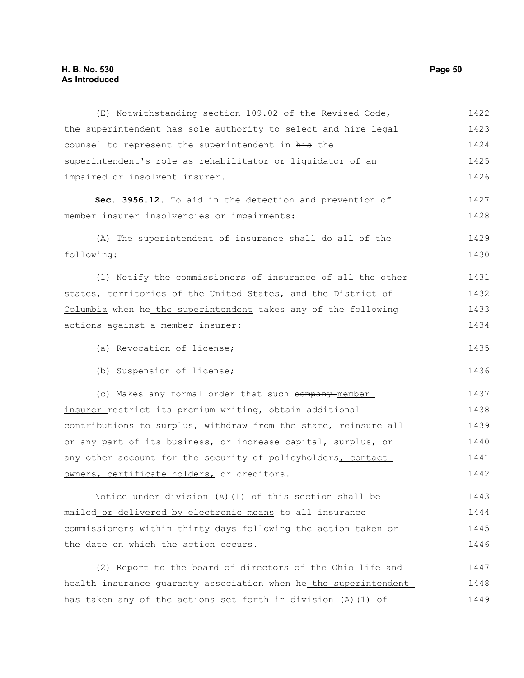### **H. B. No. 530 Page 50 As Introduced**

| (E) Notwithstanding section 109.02 of the Revised Code,          | 1422 |
|------------------------------------------------------------------|------|
| the superintendent has sole authority to select and hire legal   | 1423 |
| counsel to represent the superintendent in his the               | 1424 |
| superintendent's role as rehabilitator or liquidator of an       | 1425 |
| impaired or insolvent insurer.                                   | 1426 |
| Sec. 3956.12. To aid in the detection and prevention of          | 1427 |
| member insurer insolvencies or impairments:                      | 1428 |
| (A) The superintendent of insurance shall do all of the          | 1429 |
| following:                                                       | 1430 |
| (1) Notify the commissioners of insurance of all the other       | 1431 |
| states, territories of the United States, and the District of    | 1432 |
| Columbia when-he the superintendent takes any of the following   | 1433 |
| actions against a member insurer:                                | 1434 |
| (a) Revocation of license;                                       | 1435 |
| (b) Suspension of license;                                       | 1436 |
| (c) Makes any formal order that such company-member              | 1437 |
| insurer restrict its premium writing, obtain additional          | 1438 |
| contributions to surplus, withdraw from the state, reinsure all  | 1439 |
| or any part of its business, or increase capital, surplus, or    | 1440 |
| any other account for the security of policyholders, contact     | 1441 |
| owners, certificate holders, or creditors.                       | 1442 |
| Notice under division (A) (1) of this section shall be           | 1443 |
| mailed or delivered by electronic means to all insurance         | 1444 |
| commissioners within thirty days following the action taken or   | 1445 |
| the date on which the action occurs.                             | 1446 |
| (2) Report to the board of directors of the Ohio life and        | 1447 |
| health insurance quaranty association when-he the superintendent | 1448 |
| has taken any of the actions set forth in division (A) (1) of    | 1449 |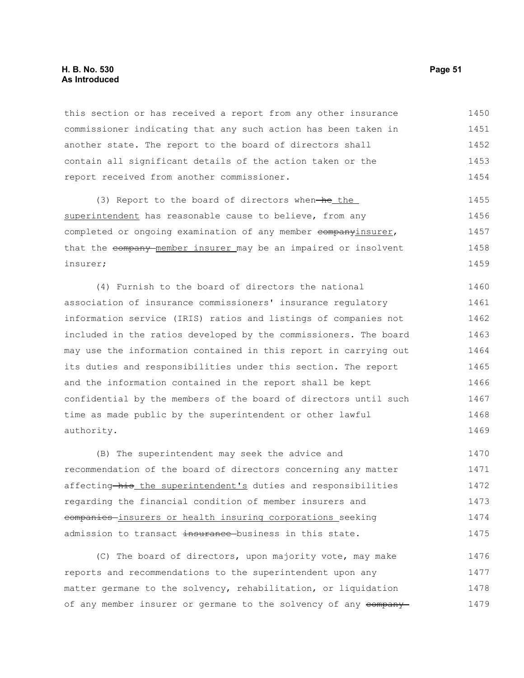#### **H. B. No. 530 Page 51 As Introduced**

this section or has received a report from any other insurance commissioner indicating that any such action has been taken in another state. The report to the board of directors shall contain all significant details of the action taken or the report received from another commissioner. 1450 1451 1452 1453 1454

 $(3)$  Report to the board of directors when-he the superintendent has reasonable cause to believe, from any completed or ongoing examination of any member companyinsurer, that the company member insurer may be an impaired or insolvent insurer; 1455 1456 1457 1458 1459

(4) Furnish to the board of directors the national association of insurance commissioners' insurance regulatory information service (IRIS) ratios and listings of companies not included in the ratios developed by the commissioners. The board may use the information contained in this report in carrying out its duties and responsibilities under this section. The report and the information contained in the report shall be kept confidential by the members of the board of directors until such time as made public by the superintendent or other lawful authority. 1460 1461 1462 1463 1464 1465 1466 1467 1468 1469

(B) The superintendent may seek the advice and recommendation of the board of directors concerning any matter affecting his the superintendent's duties and responsibilities regarding the financial condition of member insurers and companies insurers or health insuring corporations seeking admission to transact insurance business in this state. 1470 1471 1472 1473 1474 1475

(C) The board of directors, upon majority vote, may make reports and recommendations to the superintendent upon any matter germane to the solvency, rehabilitation, or liquidation of any member insurer or germane to the solvency of any company-1476 1477 1478 1479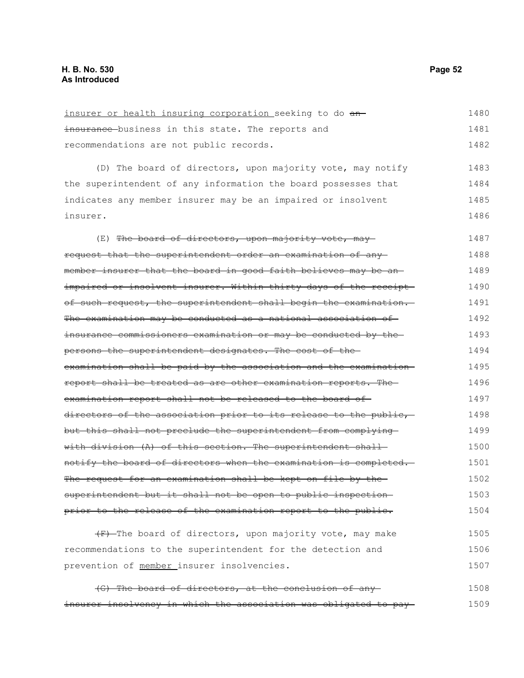insurer or health insuring corporation seeking to do aninsurance business in this state. The reports and recommendations are not public records. (D) The board of directors, upon majority vote, may notify the superintendent of any information the board possesses that indicates any member insurer may be an impaired or insolvent insurer. (E) The board of directors, upon majority vote, mayrequest that the superintendent order an examination of any member insurer that the board in good faith believes may be an impaired or insolvent insurer. Within thirty days of the receipt of such request, the superintendent shall begin the examination. The examination may be conducted as a national association of insurance commissioners examination or may be conducted by the persons the superintendent designates. The cost of the examination shall be paid by the association and the examination report shall be treated as are other examination reports. The examination report shall not be released to the board of directors of the association prior to its release to the public, but this shall not preclude the superintendent from complying with division (A) of this section. The superintendent shallnotify the board of directors when the examination is completed. The request for an examination shall be kept on file by the superintendent but it shall not be open to public inspection prior to the release of the examination report to the public.  $(F)$ -The board of directors, upon majority vote, may make recommendations to the superintendent for the detection and 1480 1481 1482 1483 1484 1485 1486 1487 1488 1489 1490 1491 1492 1493 1494 1495 1496 1497 1498 1499 1500 1501 1502 1503 1504 1505 1506

(G) The board of directors, at the conclusion of any insurer insolvency in which the association was obligated to pay 1508 1509

prevention of member insurer insolvencies.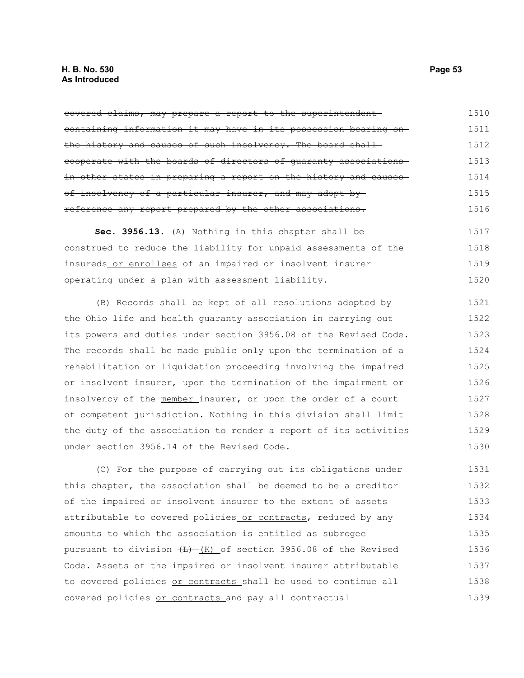#### **H. B. No. 530 Page 53 As Introduced**

covered claims, may prepare a report to the superintendent containing information it may have in its possession bearing on the history and causes of such insolvency. The board shallcooperate with the boards of directors of guaranty associations in other states in preparing a report on the history and causesof insolvency of a particular insurer, and may adopt by reference any report prepared by the other associations. 1510 1511 1512 1513 1514 1515 1516

**Sec. 3956.13.** (A) Nothing in this chapter shall be construed to reduce the liability for unpaid assessments of the insureds or enrollees of an impaired or insolvent insurer operating under a plan with assessment liability. 1517 1518 1519 1520

(B) Records shall be kept of all resolutions adopted by the Ohio life and health guaranty association in carrying out its powers and duties under section 3956.08 of the Revised Code. The records shall be made public only upon the termination of a rehabilitation or liquidation proceeding involving the impaired or insolvent insurer, upon the termination of the impairment or insolvency of the member insurer, or upon the order of a court of competent jurisdiction. Nothing in this division shall limit the duty of the association to render a report of its activities under section 3956.14 of the Revised Code. 1521 1522 1523 1524 1525 1526 1527 1528 1529 1530

(C) For the purpose of carrying out its obligations under this chapter, the association shall be deemed to be a creditor of the impaired or insolvent insurer to the extent of assets attributable to covered policies or contracts, reduced by any amounts to which the association is entitled as subrogee pursuant to division  $\frac{L}{L}$  (K) of section 3956.08 of the Revised Code. Assets of the impaired or insolvent insurer attributable to covered policies or contracts shall be used to continue all covered policies or contracts and pay all contractual 1531 1532 1533 1534 1535 1536 1537 1538 1539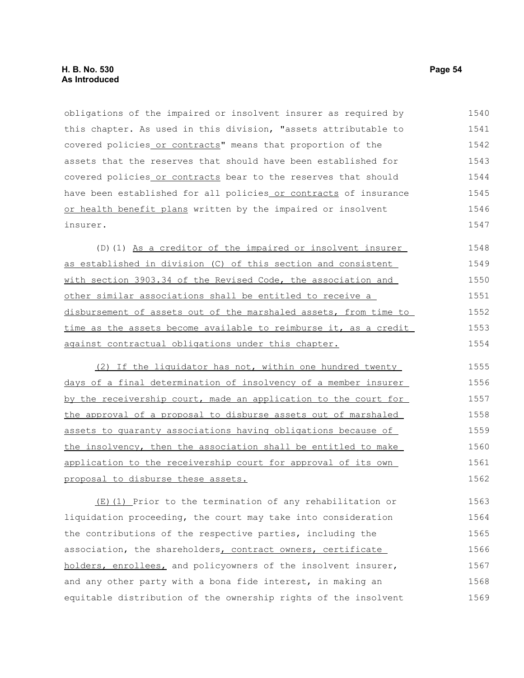obligations of the impaired or insolvent insurer as required by this chapter. As used in this division, "assets attributable to covered policies or contracts" means that proportion of the assets that the reserves that should have been established for covered policies or contracts bear to the reserves that should have been established for all policies or contracts of insurance or health benefit plans written by the impaired or insolvent insurer. 1540 1541 1542 1543 1544 1545 1546 1547

(D)(1) As a creditor of the impaired or insolvent insurer as established in division (C) of this section and consistent with section 3903.34 of the Revised Code, the association and other similar associations shall be entitled to receive a disbursement of assets out of the marshaled assets, from time to time as the assets become available to reimburse it, as a credit against contractual obligations under this chapter. 1548 1549 1550 1551 1552 1553 1554

(2) If the liquidator has not, within one hundred twenty days of a final determination of insolvency of a member insurer by the receivership court, made an application to the court for the approval of a proposal to disburse assets out of marshaled assets to guaranty associations having obligations because of the insolvency, then the association shall be entitled to make application to the receivership court for approval of its own proposal to disburse these assets. 1555 1556 1557 1558 1559 1560 1561 1562

(E)(1) Prior to the termination of any rehabilitation or liquidation proceeding, the court may take into consideration the contributions of the respective parties, including the association, the shareholders, contract owners, certificate holders, enrollees, and policyowners of the insolvent insurer, and any other party with a bona fide interest, in making an equitable distribution of the ownership rights of the insolvent 1563 1564 1565 1566 1567 1568 1569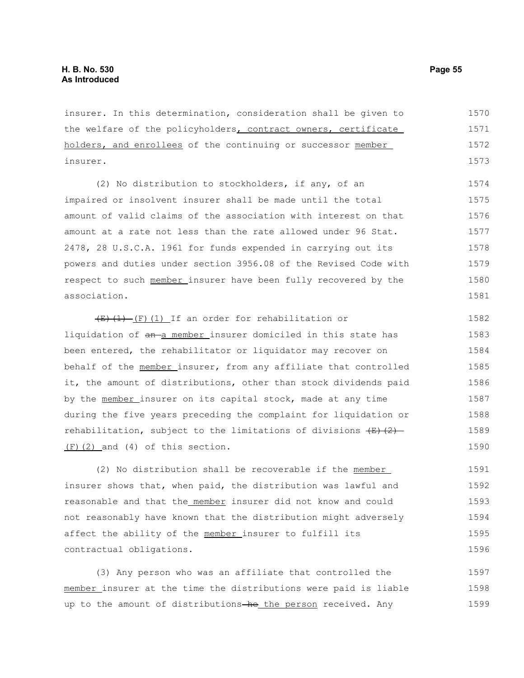insurer. In this determination, consideration shall be given to the welfare of the policyholders, contract owners, certificate holders, and enrollees of the continuing or successor member insurer. 1570 1571 1572 1573

(2) No distribution to stockholders, if any, of an impaired or insolvent insurer shall be made until the total amount of valid claims of the association with interest on that amount at a rate not less than the rate allowed under 96 Stat. 2478, 28 U.S.C.A. 1961 for funds expended in carrying out its powers and duties under section 3956.08 of the Revised Code with respect to such member insurer have been fully recovered by the association. 1574 1575 1576 1577 1578 1579 1580 1581

 $\overline{(E)(1)}$  (F)(1) If an order for rehabilitation or liquidation of an-a member insurer domiciled in this state has been entered, the rehabilitator or liquidator may recover on behalf of the member insurer, from any affiliate that controlled it, the amount of distributions, other than stock dividends paid by the member insurer on its capital stock, made at any time during the five years preceding the complaint for liquidation or rehabilitation, subject to the limitations of divisions  $\overline{(E)(2)}$ (F)(2) and (4) of this section. 1582 1583 1584 1585 1586 1587 1588 1589 1590

(2) No distribution shall be recoverable if the member insurer shows that, when paid, the distribution was lawful and reasonable and that the member insurer did not know and could not reasonably have known that the distribution might adversely affect the ability of the member insurer to fulfill its contractual obligations. 1591 1592 1593 1594 1595 1596

(3) Any person who was an affiliate that controlled the member insurer at the time the distributions were paid is liable up to the amount of distributions-he the person received. Any 1597 1598 1599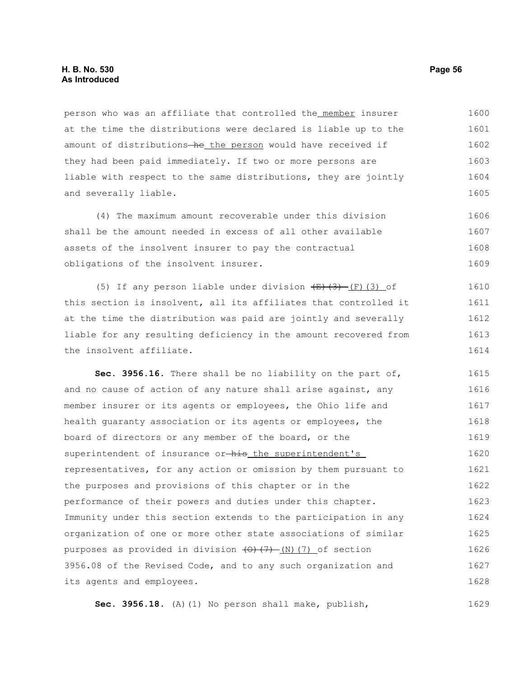person who was an affiliate that controlled the member insurer at the time the distributions were declared is liable up to the amount of distributions-he the person would have received if they had been paid immediately. If two or more persons are liable with respect to the same distributions, they are jointly and severally liable. 1600 1601 1602 1603 1604 1605

(4) The maximum amount recoverable under this division shall be the amount needed in excess of all other available assets of the insolvent insurer to pay the contractual obligations of the insolvent insurer. 1606 1607 1608 1609

(5) If any person liable under division  $\overline{E}(3)$  (F)(3) of this section is insolvent, all its affiliates that controlled it at the time the distribution was paid are jointly and severally liable for any resulting deficiency in the amount recovered from the insolvent affiliate. 1610 1611 1612 1613 1614

**Sec. 3956.16.** There shall be no liability on the part of, and no cause of action of any nature shall arise against, any member insurer or its agents or employees, the Ohio life and health guaranty association or its agents or employees, the board of directors or any member of the board, or the superintendent of insurance or-his the superintendent's representatives, for any action or omission by them pursuant to the purposes and provisions of this chapter or in the performance of their powers and duties under this chapter. Immunity under this section extends to the participation in any organization of one or more other state associations of similar purposes as provided in division  $(0)$   $(7)$  (N)(7) of section 3956.08 of the Revised Code, and to any such organization and its agents and employees. 1615 1616 1617 1618 1619 1620 1621 1622 1623 1624 1625 1626 1627 1628

**Sec. 3956.18.** (A)(1) No person shall make, publish, 1629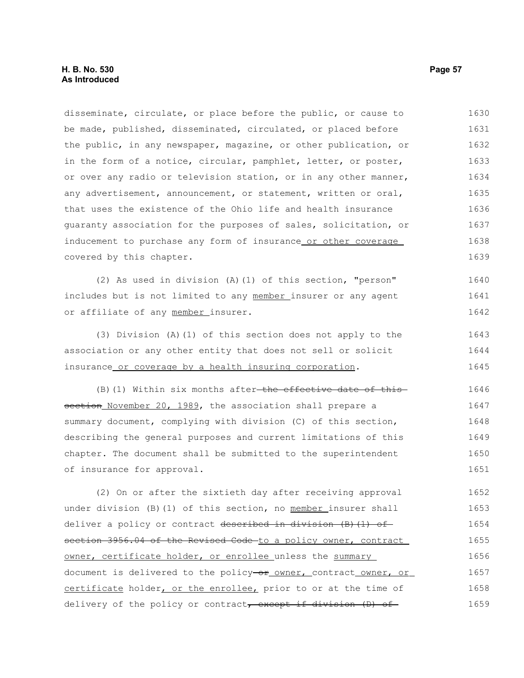disseminate, circulate, or place before the public, or cause to be made, published, disseminated, circulated, or placed before the public, in any newspaper, magazine, or other publication, or in the form of a notice, circular, pamphlet, letter, or poster, or over any radio or television station, or in any other manner, any advertisement, announcement, or statement, written or oral, that uses the existence of the Ohio life and health insurance guaranty association for the purposes of sales, solicitation, or inducement to purchase any form of insurance or other coverage covered by this chapter. (2) As used in division (A)(1) of this section, "person" includes but is not limited to any member insurer or any agent or affiliate of any member insurer. (3) Division (A)(1) of this section does not apply to the association or any other entity that does not sell or solicit insurance or coverage by a health insuring corporation.  $(B)$  (1) Within six months after-the effective date of thissection November 20, 1989, the association shall prepare a summary document, complying with division (C) of this section, describing the general purposes and current limitations of this chapter. The document shall be submitted to the superintendent of insurance for approval. (2) On or after the sixtieth day after receiving approval under division (B)(1) of this section, no member insurer shall deliver a policy or contract described in division  $(B)$  (1) of section 3956.04 of the Revised Code to a policy owner, contract owner, certificate holder, or enrollee unless the summary document is delivered to the policy-or owner, contract owner, or certificate holder, or the enrollee, prior to or at the time of delivery of the policy or contract, except if division (D) of 1630 1631 1632 1633 1634 1635 1636 1637 1638 1639 1640 1641 1642 1643 1644 1645 1646 1647 1648 1649 1650 1651 1652 1653 1654 1655 1656 1657 1658 1659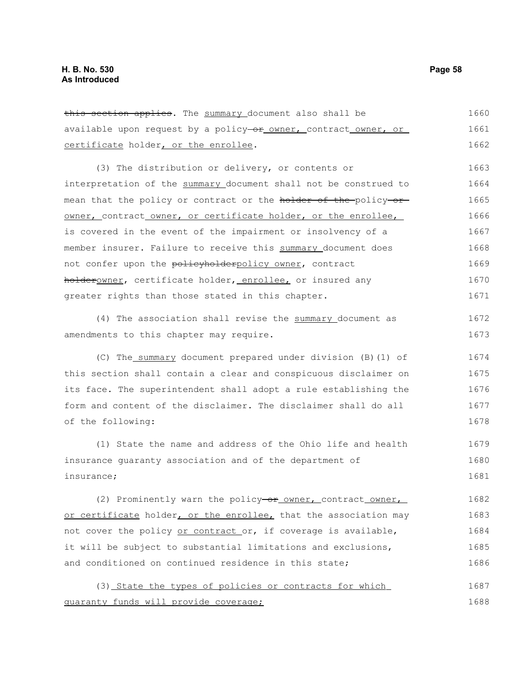this section applies. The summary document also shall be available upon request by a policy-or owner, contract owner, or certificate holder, or the enrollee. 1660 1661 1662

(3) The distribution or delivery, or contents or interpretation of the summary document shall not be construed to mean that the policy or contract or the holder of the policy or owner, contract owner, or certificate holder, or the enrollee, is covered in the event of the impairment or insolvency of a member insurer. Failure to receive this summary document does not confer upon the policyholderpolicy owner, contract holderowner, certificate holder, enrollee, or insured any greater rights than those stated in this chapter. 1663 1664 1665 1666 1667 1668 1669 1670 1671

(4) The association shall revise the summary document as amendments to this chapter may require. 1672 1673

(C) The summary document prepared under division (B)(1) of this section shall contain a clear and conspicuous disclaimer on its face. The superintendent shall adopt a rule establishing the form and content of the disclaimer. The disclaimer shall do all of the following: 1674 1675 1676 1677 1678

(1) State the name and address of the Ohio life and health insurance guaranty association and of the department of insurance; 1679 1680 1681

(2) Prominently warn the policy-or owner, contract owner, or certificate holder, or the enrollee, that the association may not cover the policy or contract or, if coverage is available, it will be subject to substantial limitations and exclusions, and conditioned on continued residence in this state; 1682 1683 1684 1685 1686

(3) State the types of policies or contracts for which guaranty funds will provide coverage; 1687 1688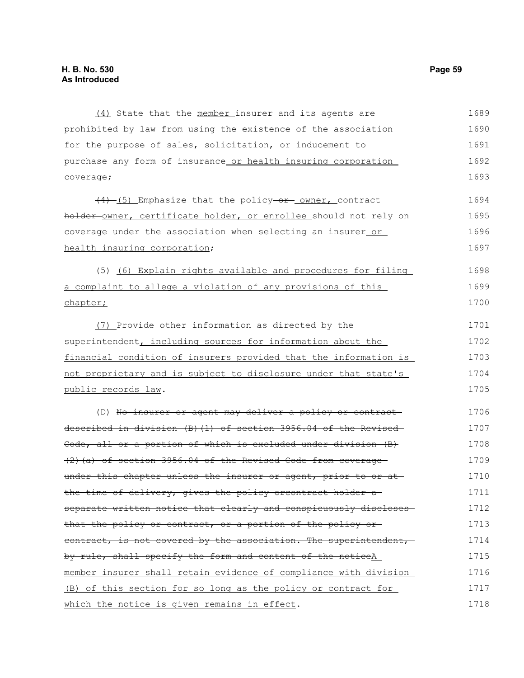(4) State that the member insurer and its agents are prohibited by law from using the existence of the association for the purpose of sales, solicitation, or inducement to purchase any form of insurance or health insuring corporation coverage;  $(4)$  (5) Emphasize that the policy-or owner, contract holder-owner, certificate holder, or enrollee should not rely on coverage under the association when selecting an insurer or health insuring corporation;  $(5)$  (6) Explain rights available and procedures for filing a complaint to allege a violation of any provisions of this chapter; (7) Provide other information as directed by the superintendent, including sources for information about the financial condition of insurers provided that the information is not proprietary and is subject to disclosure under that state's public records law. (D) No insurer or agent may deliver a policy or contract described in division (B)(1) of section 3956.04 of the Revised Code, all or a portion of which is excluded under division (B) (2)(a) of section 3956.04 of the Revised Code from coverage under this chapter unless the insurer or agent, prior to or at the time of delivery, gives the policy orcontract holder a separate written notice that clearly and conspicuously discloses that the policy or contract, or a portion of the policy or contract, is not covered by the association. The superintendent, by rule, shall specify the form and content of the noticeA member insurer shall retain evidence of compliance with division (B) of this section for so long as the policy or contract for which the notice is given remains in effect. 1689 1690 1691 1692 1693 1694 1695 1696 1697 1698 1699 1700 1701 1702 1703 1704 1705 1706 1707 1708 1709 1710 1711 1712 1713 1714 1715 1716 1717 1718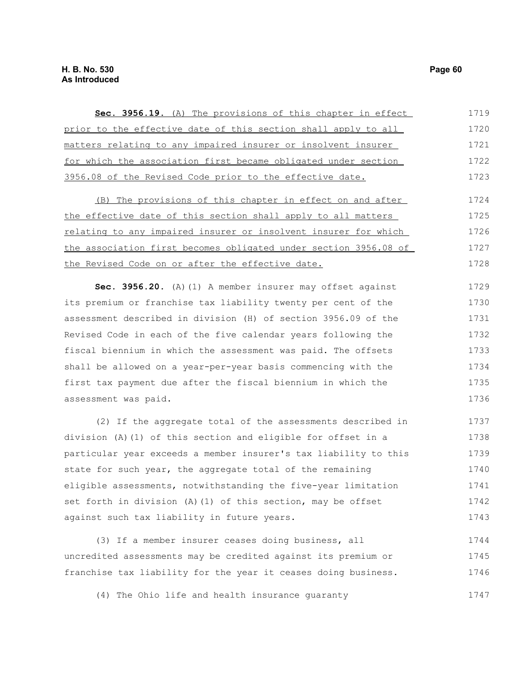| Sec. 3956.19. (A) The provisions of this chapter in effect       | 1719 |
|------------------------------------------------------------------|------|
| prior to the effective date of this section shall apply to all   | 1720 |
| matters relating to any impaired insurer or insolvent insurer    | 1721 |
| for which the association first became obligated under section   | 1722 |
| 3956.08 of the Revised Code prior to the effective date.         | 1723 |
| (B) The provisions of this chapter in effect on and after        | 1724 |
| the effective date of this section shall apply to all matters    | 1725 |
| relating to any impaired insurer or insolvent insurer for which  | 1726 |
| the association first becomes obligated under section 3956.08 of | 1727 |
| the Revised Code on or after the effective date.                 | 1728 |
| Sec. 3956.20. (A) (1) A member insurer may offset against        | 1729 |
| its premium or franchise tax liability twenty per cent of the    | 1730 |
| assessment described in division (H) of section 3956.09 of the   | 1731 |
| Revised Code in each of the five calendar years following the    | 1732 |
| fiscal biennium in which the assessment was paid. The offsets    | 1733 |
| shall be allowed on a year-per-year basis commencing with the    | 1734 |
| first tax payment due after the fiscal biennium in which the     | 1735 |
| assessment was paid.                                             | 1736 |
| (2) If the aggregate total of the assessments described in       | 1737 |
| division (A) (1) of this section and eligible for offset in a    | 1738 |
| particular year exceeds a member insurer's tax liability to this | 1739 |
| state for such year, the aggregate total of the remaining        | 1740 |
| eligible assessments, notwithstanding the five-year limitation   | 1741 |
| set forth in division (A) (1) of this section, may be offset     | 1742 |
| against such tax liability in future years.                      | 1743 |
| (3) If a member insurer ceases doing business, all               | 1744 |
| uncredited assessments may be credited against its premium or    | 1745 |
| franchise tax liability for the year it ceases doing business.   | 1746 |
| (4) The Ohio life and health insurance guaranty                  | 1747 |